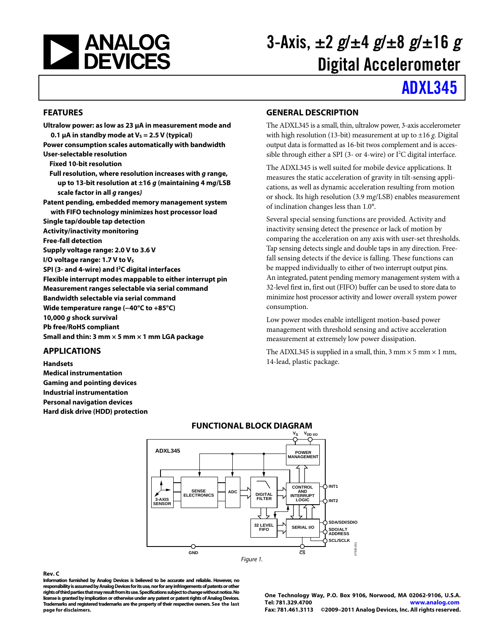<span id="page-0-0"></span>

# 3-Axis,  $\pm 2$  g/ $\pm 4$  g/ $\pm 8$  g/ $\pm 16$  g Digital Accelerometer

# [ADXL345](www.analog.com/ADXL345)

#### **FEATURES**

**Ultralow power: as low as 23 μA in measurement mode and 0.1**  $\mu$ **A in standby mode at V<sub>s</sub> = 2.5 V (typical) Power consumption scales automatically with bandwidth User-selectable resolution Fixed 10-bit resolution Full resolution, where resolution increases with g range, up to 13-bit resolution at ±16 g (maintaining 4 mg/LSB scale factor in all g ranges) Patent pending, embedded memory management system with FIFO technology minimizes host processor load Single tap/double tap detection Activity/inactivity monitoring Free-fall detection Supply voltage range: 2.0 V to 3.6 V I/O voltage range: 1.7 V to Vs SPI (3- and 4-wire) and I2C digital interfaces Flexible interrupt modes mappable to either interrupt pin Measurement ranges selectable via serial command Bandwidth selectable via serial command Wide temperature range (−40°C to +85°C) 10,000 g shock survival Pb free/RoHS compliant Small and thin: 3 mm × 5 mm × 1 mm LGA package** 

#### **APPLICATIONS**

**Handsets Medical instrumentation Gaming and pointing devices Industrial instrumentation Personal navigation devices Hard disk drive (HDD) protection** 

#### **GENERAL DESCRIPTION**

The ADXL345 is a small, thin, ultralow power, 3-axis accelerometer with high resolution (13-bit) measurement at up to ±16 *g*. Digital output data is formatted as 16-bit twos complement and is accessible through either a SPI (3- or 4-wire) or  $I^2C$  digital interface.

The ADXL345 is well suited for mobile device applications. It measures the static acceleration of gravity in tilt-sensing applications, as well as dynamic acceleration resulting from motion or shock. Its high resolution (3.9 m*g*/LSB) enables measurement of inclination changes less than 1.0°.

Several special sensing functions are provided. Activity and inactivity sensing detect the presence or lack of motion by comparing the acceleration on any axis with user-set thresholds. Tap sensing detects single and double taps in any direction. Freefall sensing detects if the device is falling. These functions can be mapped individually to either of two interrupt output pins. An integrated, patent pending memory management system with a 32-level first in, first out (FIFO) buffer can be used to store data to minimize host processor activity and lower overall system power consumption.

Low power modes enable intelligent motion-based power management with threshold sensing and active acceleration measurement at extremely low power dissipation.

The ADXL345 is supplied in a small, thin,  $3 \text{ mm} \times 5 \text{ mm} \times 1 \text{ mm}$ , 14-lead, plastic package.



#### **Rev. C**

**Information furnished by Analog Devices is believed to be accurate and reliable. However, no responsibility is assumed by Analog Devices for its use, nor for any infringements of patents or other rights of third parties that may result from its use. Specifications subject to change without notice. No license is granted by implication or otherwise under any patent or patent rights of Analog Devices. Trademarks and registered trademarks are the property of their respective owners. See the last page for disclaimers.** 

**One Technology Way, P.O. Box 9106, Norwood, MA 02062-9106, U.S.A. Tel: 781.329.4700 www.analog.com Fax: 781.461.3113 ©2009–2011 Analog Devices, Inc. All rights reserved.**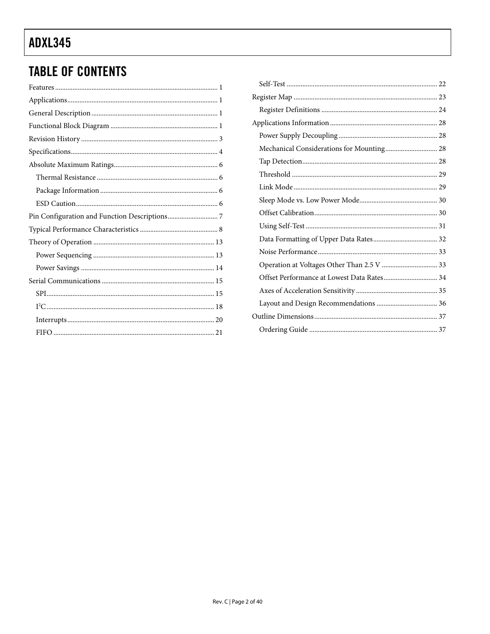### **TABLE OF CONTENTS**

| Offset Performance at Lowest Data Rates 34 |  |
|--------------------------------------------|--|
|                                            |  |
|                                            |  |
|                                            |  |
|                                            |  |
|                                            |  |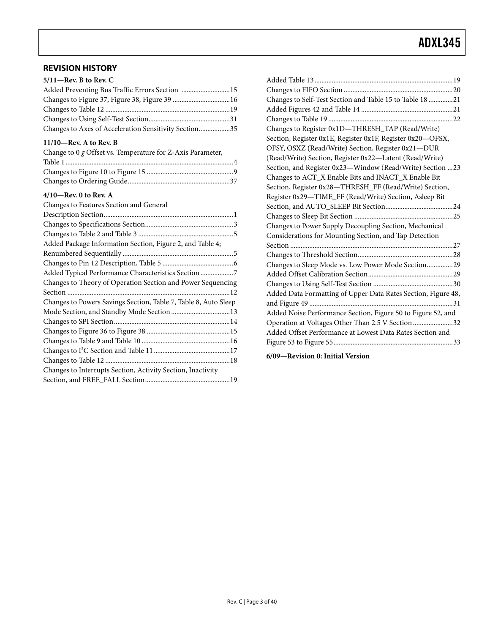#### <span id="page-2-0"></span>**REVISION HISTORY**

| $5/11$ —Rev. B to Rev. C            |
|-------------------------------------|
| Added Preventing Bus Traffic Errors |

| Added Preventing Bus Traffic Errors Section 15        |  |
|-------------------------------------------------------|--|
| Changes to Figure 37, Figure 38, Figure 39 16         |  |
|                                                       |  |
|                                                       |  |
| Changes to Axes of Acceleration Sensitivity Section35 |  |

#### **11/10—Rev. A to Rev. B**

| Change to $0 g$ Offset vs. Temperature for Z-Axis Parameter, |  |
|--------------------------------------------------------------|--|
|                                                              |  |
|                                                              |  |
|                                                              |  |

#### **4/10—Rev. 0 to Rev. A**

Changes to Features Section and General

| Changes to Self-Test Section and Table 15 to Table 18 21      |
|---------------------------------------------------------------|
|                                                               |
|                                                               |
| Changes to Register 0x1D-THRESH_TAP (Read/Write)              |
| Section, Register 0x1E, Register 0x1F, Register 0x20-OFSX,    |
| OFSY, OSXZ (Read/Write) Section, Register 0x21-DUR            |
| (Read/Write) Section, Register 0x22-Latent (Read/Write)       |
| Section, and Register 0x23-Window (Read/Write) Section 23     |
| Changes to ACT_X Enable Bits and INACT_X Enable Bit           |
| Section, Register 0x28-THRESH_FF (Read/Write) Section,        |
| Register 0x29-TIME_FF (Read/Write) Section, Asleep Bit        |
|                                                               |
|                                                               |
| Changes to Power Supply Decoupling Section, Mechanical        |
| Considerations for Mounting Section, and Tap Detection        |
|                                                               |
|                                                               |
| Changes to Sleep Mode vs. Low Power Mode Section29            |
|                                                               |
|                                                               |
| Added Data Formatting of Upper Data Rates Section, Figure 48, |
|                                                               |
| Added Noise Performance Section, Figure 50 to Figure 52, and  |
| Operation at Voltages Other Than 2.5 V Section 32             |
| Added Offset Performance at Lowest Data Rates Section and     |
|                                                               |
|                                                               |

**6/09—Revision 0: Initial Version**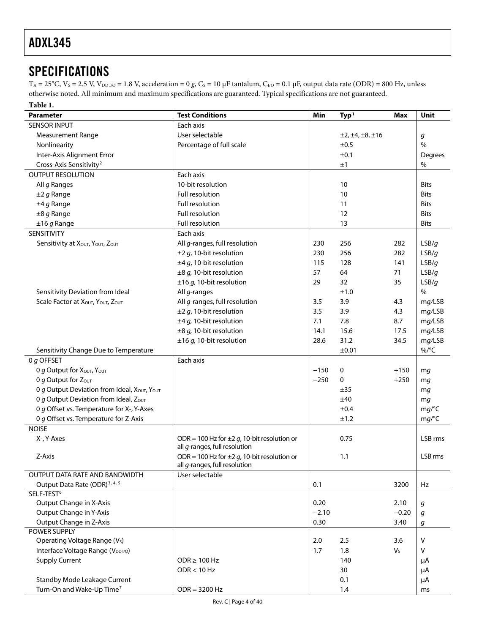### <span id="page-3-0"></span>**SPECIFICATIONS**

 $T_A = 25$ °C,  $V_S = 2.5$  V,  $V_{DD\,I/O} = 1.8$  V, acceleration = 0 *g*, C<sub>S</sub> = 10 μF tantalum, C<sub>*I*/O</sub> = 0.1 μF, output data rate (ODR) = 800 Hz, unless otherwise noted. All minimum and maximum specifications are guaranteed. Typical specifications are not guaranteed.

<span id="page-3-1"></span>

| Table 1.                                    |                                                                                    |         |                               |                |                  |
|---------------------------------------------|------------------------------------------------------------------------------------|---------|-------------------------------|----------------|------------------|
| <b>Parameter</b>                            | <b>Test Conditions</b>                                                             | Min     | Type <sup>1</sup>             | Max            | Unit             |
| <b>SENSOR INPUT</b>                         | Each axis                                                                          |         |                               |                |                  |
| <b>Measurement Range</b>                    | User selectable                                                                    |         | $\pm 2, \pm 4, \pm 8, \pm 16$ |                | g                |
| Nonlinearity                                | Percentage of full scale                                                           |         | ±0.5                          |                | $\frac{0}{0}$    |
| Inter-Axis Alignment Error                  |                                                                                    |         | ±0.1                          |                | Degrees          |
| Cross-Axis Sensitivity <sup>2</sup>         |                                                                                    |         | ±1                            |                | %                |
| <b>OUTPUT RESOLUTION</b>                    | Each axis                                                                          |         |                               |                |                  |
| All g Ranges                                | 10-bit resolution                                                                  |         | 10                            |                | <b>Bits</b>      |
| $±2 g$ Range                                | Full resolution                                                                    |         | 10                            |                | <b>Bits</b>      |
| $±4 g$ Range                                | Full resolution                                                                    |         | 11                            |                | <b>Bits</b>      |
| $\pm 8$ g Range                             | Full resolution                                                                    |         | 12                            |                | <b>Bits</b>      |
| $±16 g$ Range                               | Full resolution                                                                    |         | 13                            |                | <b>Bits</b>      |
| <b>SENSITIVITY</b>                          | Each axis                                                                          |         |                               |                |                  |
| Sensitivity at XOUT, YOUT, ZOUT             | All g-ranges, full resolution                                                      | 230     | 256                           | 282            | LSB/g            |
|                                             | $\pm$ 2 g, 10-bit resolution                                                       | 230     | 256                           | 282            | LSB/g            |
|                                             | $\pm 4$ g, 10-bit resolution                                                       | 115     | 128                           | 141            | LSB/g            |
|                                             | $\pm 8$ g, 10-bit resolution                                                       | 57      | 64                            | 71             | LSB/g            |
|                                             | $\pm 16$ g, 10-bit resolution                                                      | 29      | 32                            | 35             | LSB/g            |
| Sensitivity Deviation from Ideal            | All g-ranges                                                                       |         | ±1.0                          |                | $\%$             |
| Scale Factor at XOUT, YOUT, ZOUT            | All g-ranges, full resolution                                                      | 3.5     | 3.9                           | 4.3            |                  |
|                                             |                                                                                    | 3.5     |                               |                | mg/LSB           |
|                                             | $\pm$ 2 g, 10-bit resolution                                                       |         | 3.9                           | 4.3            | mg/LSB           |
|                                             | $\pm 4$ g, 10-bit resolution                                                       | 7.1     | 7.8                           | 8.7            | mg/LSB           |
|                                             | $\pm 8$ g, 10-bit resolution                                                       | 14.1    | 15.6                          | 17.5           | mg/LSB           |
|                                             | $\pm 16$ g, 10-bit resolution                                                      | 28.6    | 31.2                          | 34.5           | mg/LSB           |
| Sensitivity Change Due to Temperature       |                                                                                    |         | ±0.01                         |                | $\%$ /°C         |
| 0 g OFFSET                                  | Each axis                                                                          |         |                               |                |                  |
| O g Output for XOUT, YOUT                   |                                                                                    | $-150$  | 0                             | $+150$         | mg               |
| 0 g Output for $Z_{OUT}$                    |                                                                                    | $-250$  | 0                             | $+250$         | mg               |
| 0 g Output Deviation from Ideal, XOUT, YOUT |                                                                                    |         | ±35                           |                | mg               |
| 0 g Output Deviation from Ideal, Zout       |                                                                                    |         | ±40                           |                | mg               |
| 0 g Offset vs. Temperature for X-, Y-Axes   |                                                                                    |         | ±0.4                          |                | mg/C             |
| 0 g Offset vs. Temperature for Z-Axis       |                                                                                    |         | ±1.2                          |                | mg/C             |
| <b>NOISE</b>                                |                                                                                    |         |                               |                |                  |
| X-, Y-Axes                                  | ODR = 100 Hz for $\pm 2$ g, 10-bit resolution or                                   |         | 0.75                          |                | LSB rms          |
|                                             | all g-ranges, full resolution                                                      |         |                               |                |                  |
| Z-Axis                                      | ODR = 100 Hz for $\pm 2 g$ , 10-bit resolution or<br>all g-ranges, full resolution |         | 1.1                           |                | LSB rms          |
| OUTPUT DATA RATE AND BANDWIDTH              | User selectable                                                                    |         |                               |                |                  |
| Output Data Rate (ODR) <sup>3, 4, 5</sup>   |                                                                                    | 0.1     |                               | 3200           | Hz               |
| SELF-TEST <sup>6</sup>                      |                                                                                    |         |                               |                |                  |
| Output Change in X-Axis                     |                                                                                    | 0.20    |                               | 2.10           | $\boldsymbol{g}$ |
| <b>Output Change in Y-Axis</b>              |                                                                                    | $-2.10$ |                               | $-0.20$        | g                |
| Output Change in Z-Axis                     |                                                                                    | 0.30    |                               | 3.40           | $\boldsymbol{g}$ |
| <b>POWER SUPPLY</b>                         |                                                                                    |         |                               |                |                  |
| Operating Voltage Range (V <sub>s</sub> )   |                                                                                    | 2.0     | 2.5                           | 3.6            | $\vee$           |
| Interface Voltage Range (VDDI/O)            |                                                                                    | 1.7     | 1.8                           | V <sub>S</sub> | V                |
| <b>Supply Current</b>                       | $ODR \ge 100 Hz$                                                                   |         | 140                           |                | μA               |
|                                             | ODR < 10 Hz                                                                        |         | 30                            |                | μA               |
| Standby Mode Leakage Current                |                                                                                    |         | 0.1                           |                | μA               |
| Turn-On and Wake-Up Time <sup>7</sup>       | $ODR = 3200 Hz$                                                                    |         | 1.4                           |                | ms               |
|                                             |                                                                                    |         |                               |                |                  |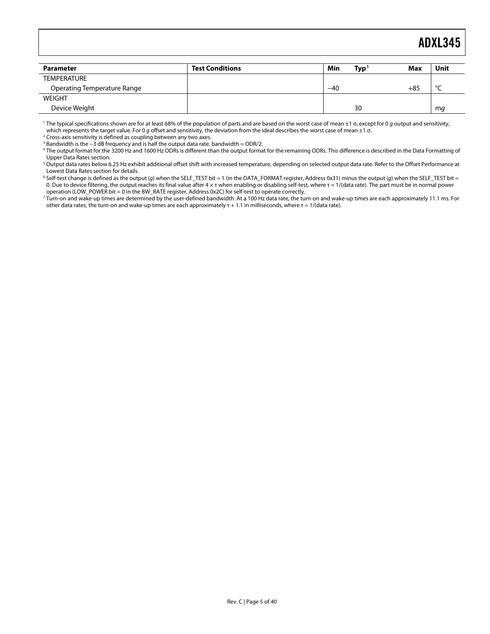<span id="page-4-0"></span>

| <b>Parameter</b>            | <b>Test Conditions</b> | Min   | Typ | Max   | Unit   |
|-----------------------------|------------------------|-------|-----|-------|--------|
| <b>TEMPERATURE</b>          |                        |       |     |       |        |
| Operating Temperature Range |                        | $-40$ |     | $+85$ | $\sim$ |
| <b>WEIGHT</b>               |                        |       |     |       |        |
| Device Weight               |                        |       | 30  |       | mg     |

<sup>1</sup> The typical specifications shown are for at least 68% of the population of parts and are based on the worst case of mean ±1 σ, except for 0 g output and sensitivity, which represents the target value. For 0 g offset and sensitivity, the deviation from the ideal describes the worst case of mean  $\pm 1$  o.

<sup>2</sup> Cross-axis sensitivity is defined as coupling between any two axes.

 $3$  Bandwidth is the  $-3$  dB frequency and is half the output data rate, bandwidth = ODR/2.

4 The output format for the 3200 Hz and 1600 Hz ODRs is different than the output format for the remaining ODRs. This difference is described in the [Data Formatting of](#page-31-1)  [Upper Data Rates s](#page-31-1)ection.

 $^5$  Output data rates below 6.25 Hz exhibit additional offset shift with increased temperature, depending on selected output data rate. Refer to the Offset Performance at [Lowest Data Rates s](#page-33-0)ection for details.

 $^6$  Self-test change is defined as the output (g) when the SELF\_TEST bit = 1 (in the DATA\_FORMAT register, Address 0x31) minus the output (g) when the SELF\_TEST bit = 0. Due to device filtering, the output reaches its final value after 4 × τ when enabling or disabling self-test, where τ = 1/(data rate). The part must be in normal power operation (LOW\_POWER bit = 0 in the BW\_RATE register, Address 0x2C) for self-test to operate correctly.

7 Turn-on and wake-up times are determined by the user-defined bandwidth. At a 100 Hz data rate, the turn-on and wake-up times are each approximately 11.1 ms. For other data rates, the turn-on and wake-up times are each approximately  $\tau$  + 1.1 in milliseconds, where  $\tau$  = 1/(data rate).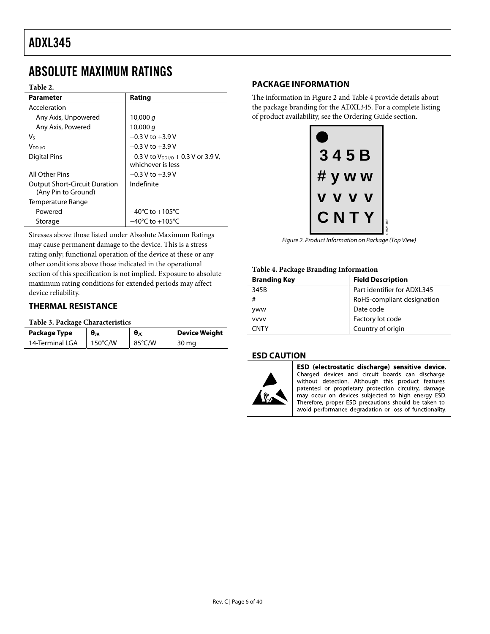### <span id="page-5-1"></span><span id="page-5-0"></span>ABSOLUTE MAXIMUM RATINGS

#### **Table 2.**

| <b>Parameter</b>                                            | Rating                                                                 |
|-------------------------------------------------------------|------------------------------------------------------------------------|
| Acceleration                                                |                                                                        |
| Any Axis, Unpowered                                         | 10,000 $q$                                                             |
| Any Axis, Powered                                           | 10,000 $q$                                                             |
| V٢                                                          | $-0.3$ V to $+3.9$ V                                                   |
| V <sub>DD I/O</sub>                                         | $-0.3$ V to $+3.9$ V                                                   |
| Digital Pins                                                | $-0.3$ V to V <sub>DD I/0</sub> + 0.3 V or 3.9 V,<br>whichever is less |
| All Other Pins                                              | $-0.3$ V to $+3.9$ V                                                   |
| <b>Output Short-Circuit Duration</b><br>(Any Pin to Ground) | Indefinite                                                             |
| Temperature Range                                           |                                                                        |
| Powered                                                     | $-40^{\circ}$ C to $+105^{\circ}$ C                                    |
| Storage                                                     | $-40^{\circ}$ C to $+105^{\circ}$ C                                    |

<span id="page-5-2"></span>Stresses above those listed under Absolute Maximum Ratings may cause permanent damage to the device. This is a stress rating only; functional operation of the device at these or any other conditions above those indicated in the operational section of this specification is not implied. Exposure to absolute maximum rating conditions for extended periods may affect device reliability.

#### **THERMAL RESISTANCE**

#### **Table 3. Package Characteristics**

| Package Type    | θja<br>$\theta$ JC |        | <b>Device Weight</b> |  |  |
|-----------------|--------------------|--------|----------------------|--|--|
| 14-Terminal LGA | $150^{\circ}$ C/W  | 85°C/W | 30 mg                |  |  |

#### **PACKAGE INFORMATION**

The information in [Figure 2](#page-5-2) and Table 4 provide details about the package branding for the ADXL345. For a complete listing of product availability, see the [Ordering Guide](#page-36-2) section.

| 3 | 45B                |           |
|---|--------------------|-----------|
|   | # y w w            |           |
|   | J                  |           |
| C | <b>N</b><br>$\Box$ | 17925-102 |
|   |                    |           |

Figure 2. Product Information on Package (Top View)

#### **Table 4. Package Branding Information**

| <b>Branding Key</b> | <b>Field Description</b>    |
|---------------------|-----------------------------|
| 345B                | Part identifier for ADXL345 |
| #                   | RoHS-compliant designation  |
| <b>yww</b>          | Date code                   |
| <b>VVVV</b>         | Factory lot code            |
| CNTY                | Country of origin           |

#### **ESD CAUTION**



ESD (electrostatic discharge) sensitive device. Charged devices and circuit boards can discharge without detection. Although this product features patented or proprietary protection circuitry, damage may occur on devices subjected to high energy ESD. Therefore, proper ESD precautions should be taken to avoid performance degradation or loss of functionality.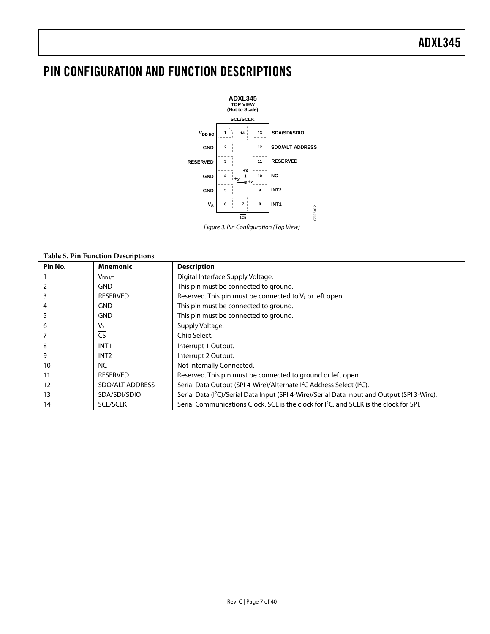### <span id="page-6-0"></span>PIN CONFIGURATION AND FUNCTION DESCRIPTIONS



Figure 3. Pin Configuration (Top View)

#### **Table 5. Pin Function Descriptions**

| Pin No. | <b>Mnemonic</b>        | <b>Description</b>                                                                                       |
|---------|------------------------|----------------------------------------------------------------------------------------------------------|
|         | $V_{DD I/O}$           | Digital Interface Supply Voltage.                                                                        |
|         | <b>GND</b>             | This pin must be connected to ground.                                                                    |
|         | <b>RESERVED</b>        | Reserved. This pin must be connected to V <sub>s</sub> or left open.                                     |
|         | <b>GND</b>             | This pin must be connected to ground.                                                                    |
|         | <b>GND</b>             | This pin must be connected to ground.                                                                    |
| 6       | V <sub>s</sub>         | Supply Voltage.                                                                                          |
|         | $\overline{\text{CS}}$ | Chip Select.                                                                                             |
| 8       | INT <sub>1</sub>       | Interrupt 1 Output.                                                                                      |
| 9       | INT <sub>2</sub>       | Interrupt 2 Output.                                                                                      |
| 10      | <b>NC</b>              | Not Internally Connected.                                                                                |
| 11      | <b>RESERVED</b>        | Reserved. This pin must be connected to ground or left open.                                             |
| 12      | SDO/ALT ADDRESS        | Serial Data Output (SPI 4-Wire)/Alternate <sup>2</sup> C Address Select ( <sup>2</sup> C).               |
| 13      | SDA/SDI/SDIO           | Serial Data (I <sup>2</sup> C)/Serial Data Input (SPI 4-Wire)/Serial Data Input and Output (SPI 3-Wire). |
| 14      | <b>SCL/SCLK</b>        | Serial Communications Clock. SCL is the clock for I <sup>2</sup> C, and SCLK is the clock for SPI.       |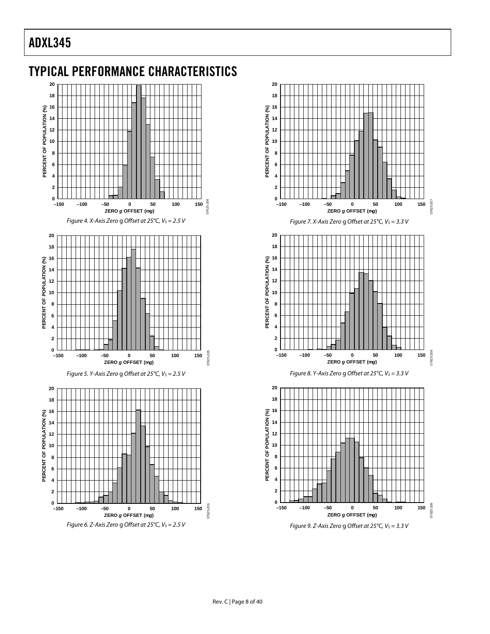<span id="page-7-0"></span>



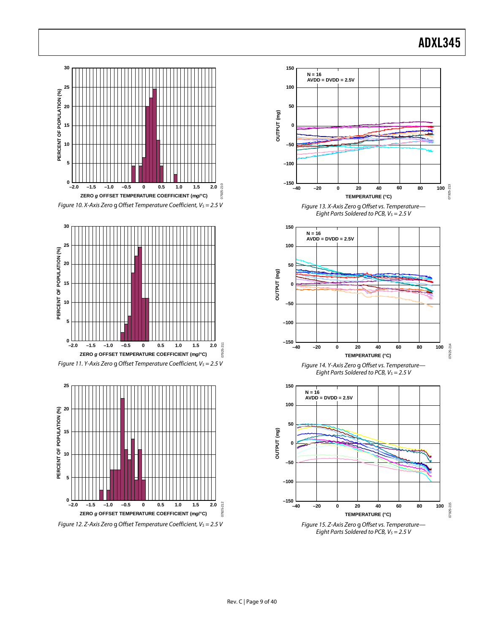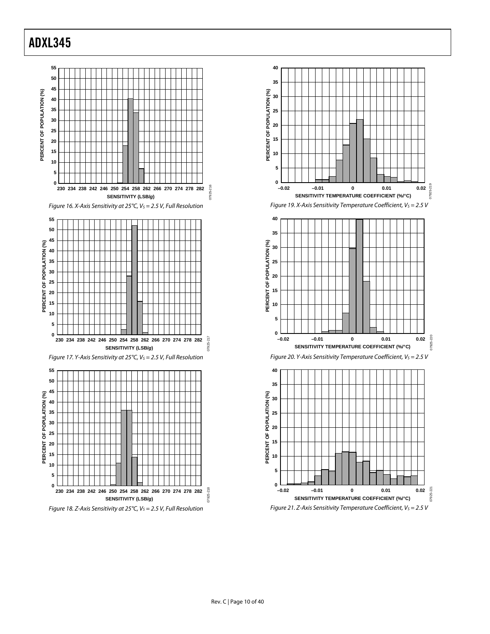





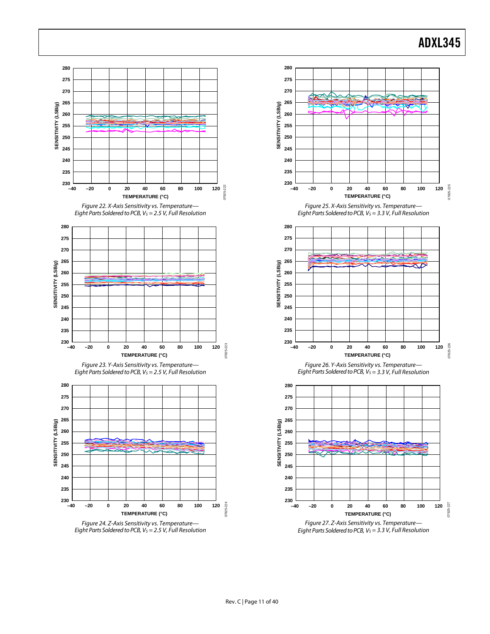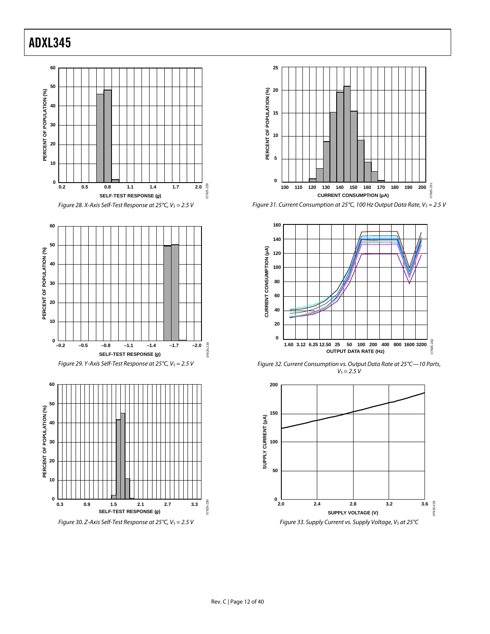



<span id="page-11-0"></span>







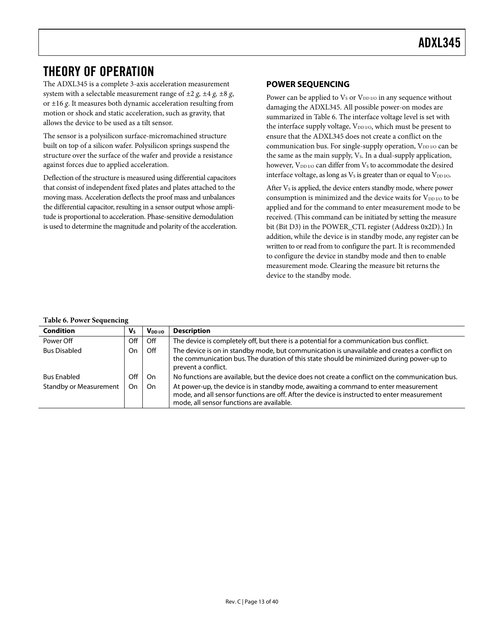### <span id="page-12-1"></span><span id="page-12-0"></span>THEORY OF OPERATION

The ADXL345 is a complete 3-axis acceleration measurement system with a selectable measurement range of ±2 *g, ±*4 *g, ±*8 *g*, or ±16 *g*. It measures both dynamic acceleration resulting from motion or shock and static acceleration, such as gravity, that allows the device to be used as a tilt sensor.

The sensor is a polysilicon surface-micromachined structure built on top of a silicon wafer. Polysilicon springs suspend the structure over the surface of the wafer and provide a resistance against forces due to applied acceleration.

Deflection of the structure is measured using differential capacitors that consist of independent fixed plates and plates attached to the moving mass. Acceleration deflects the proof mass and unbalances the differential capacitor, resulting in a sensor output whose amplitude is proportional to acceleration. Phase-sensitive demodulation is used to determine the magnitude and polarity of the acceleration.

#### **POWER SEQUENCING**

Power can be applied to  $V_S$  or  $V_{DD\,I/O}$  in any sequence without damaging the ADXL345. All possible power-on modes are summarized in [Table 6](#page-12-2). The interface voltage level is set with the interface supply voltage,  $V_{DD I/O}$ , which must be present to ensure that the ADXL345 does not create a conflict on the communication bus. For single-supply operation,  $V_{DD UQ}$  can be the same as the main supply,  $V_s$ . In a dual-supply application, however,  $V_{DD I/O}$  can differ from  $V_S$  to accommodate the desired interface voltage, as long as  $V<sub>S</sub>$  is greater than or equal to  $V<sub>DD I/O</sub>$ .

After  $V_s$  is applied, the device enters standby mode, where power consumption is minimized and the device waits for  $V_{DD\,I/O}$  to be applied and for the command to enter measurement mode to be received. (This command can be initiated by setting the measure bit (Bit D3) in the POWER\_CTL register (Address 0x2D).) In addition, while the device is in standby mode, any register can be written to or read from to configure the part. It is recommended to configure the device in standby mode and then to enable measurement mode. Clearing the measure bit returns the device to the standby mode.

#### <span id="page-12-2"></span> $\begin{array}{c|c|c|c} \hline \textbf{Condition} & \textbf{V}_\text{S} & \textbf{V}_{\text{DD I/O}} & \textbf{Description} \ \hline \end{array}$ Power Off **Prover Configure Configure The device is completely off, but there is a potential for a communication bus conflict.** Bus Disabled  $\vert$  On  $\vert$  Off  $\vert$  The device is on in standby mode, but communication is unavailable and creates a conflict on the communication bus. The duration of this state should be minimized during power-up to prevent a conflict. Bus Enabled  $\vert$  Off  $\vert$  On  $\vert$  No functions are available, but the device does not create a conflict on the communication bus. Standby or Measurement  $\Box$  On  $\Box$  At power-up, the device is in standby mode, awaiting a command to enter measurement mode, and all sensor functions are off. After the device is instructed to enter measurement mode, all sensor functions are available.

#### **Table 6. Power Sequencing**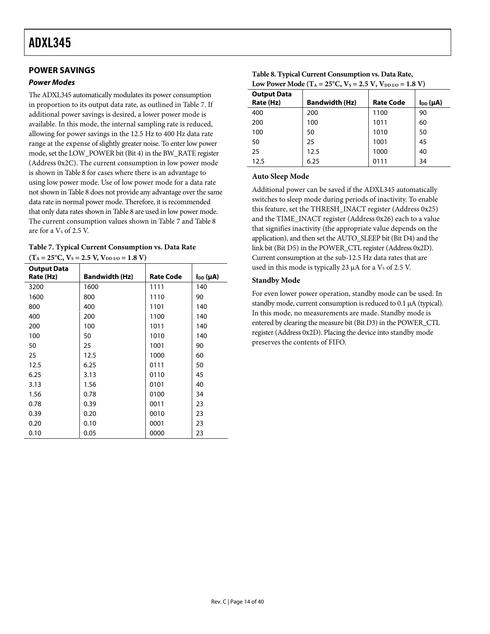#### <span id="page-13-2"></span><span id="page-13-0"></span>**POWER SAVINGS**

#### <span id="page-13-3"></span>**Power Modes**

The ADXL345 automatically modulates its power consumption in proportion to its output data rate, as outlined in [Table 7](#page-13-1). If additional power savings is desired, a lower power mode is available. In this mode, the internal sampling rate is reduced, allowing for power savings in the 12.5 Hz to 400 Hz data rate range at the expense of slightly greater noise. To enter low power mode, set the LOW\_POWER bit (Bit 4) in the BW\_RATE register (Address 0x2C). The current consumption in low power mode is shown in [Table 8](#page-13-2) for cases where there is an advantage to using low power mode. Use of low power mode for a data rate not shown in [Table 8](#page-13-2) does not provide any advantage over the same data rate in normal power mode. Therefore, it is recommended that only data rates shown in [Table 8](#page-13-2) are used in low power mode. The current consumption values shown in [Table 7](#page-13-1) and [Table 8](#page-13-2) are for a  $V<sub>s</sub>$  of 2.5 V.

<span id="page-13-1"></span>

|            |  | Table 7. Typical Current Consumption vs. Data Rate |  |
|------------|--|----------------------------------------------------|--|
| $\sqrt{2}$ |  | $\mathbf{1}$ $\mathbf{1}$ $\mathbf{1}$             |  |

| $(T_A = 25^{\circ}C, V_S = 2.5 V, V_{DD I/O} = 1.8 V)$ |  |  |  |  |
|--------------------------------------------------------|--|--|--|--|
|                                                        |  |  |  |  |

| <b>Output Data</b> |                       |                  |                 |
|--------------------|-----------------------|------------------|-----------------|
| Rate (Hz)          | <b>Bandwidth (Hz)</b> | <b>Rate Code</b> | $I_{DD}(\mu A)$ |
| 3200               | 1600                  | 1111             | 140             |
| 1600               | 800                   | 1110             | 90              |
| 800                | 400                   | 1101             | 140             |
| 400                | 200                   | 1100             | 140             |
| 200                | 100                   | 1011             | 140             |
| 100                | 50                    | 1010             | 140             |
| 50                 | 25                    | 1001             | 90              |
| 25                 | 12.5                  | 1000             | 60              |
| 12.5               | 6.25                  | 0111             | 50              |
| 6.25               | 3.13                  | 0110             | 45              |
| 3.13               | 1.56                  | 0101             | 40              |
| 1.56               | 0.78                  | 0100             | 34              |
| 0.78               | 0.39                  | 0011             | 23              |
| 0.39               | 0.20                  | 0010             | 23              |
| 0.20               | 0.10                  | 0001             | 23              |
| 0.10               | 0.05                  | 0000             | 23              |

| Table 8. Typical Current Consumption vs. Data Rate,                                                      |
|----------------------------------------------------------------------------------------------------------|
| Low Power Mode (T <sub>A</sub> = 25 <sup>o</sup> C, V <sub>S</sub> = 2.5 V, V <sub>DD I/O</sub> = 1.8 V) |

| <b>Output Data</b><br>Rate (Hz) | <b>Bandwidth (Hz)</b> | <b>Rate Code</b> | $I_{DD}(\mu A)$ |
|---------------------------------|-----------------------|------------------|-----------------|
| 400                             | 200                   | 1100             | 90              |
| 200                             | 100                   | 1011             | 60              |
| 100                             | 50                    | 1010             | 50              |
| 50                              | 25                    | 1001             | 45              |
| 25                              | 12.5                  | 1000             | 40              |
| 12.5                            | 6.25                  | 0111             | 34              |

#### **Auto Sleep Mode**

Additional power can be saved if the ADXL345 automatically switches to sleep mode during periods of inactivity. To enable this feature, set the THRESH\_INACT register (Address 0x25) and the TIME\_INACT register (Address 0x26) each to a value that signifies inactivity (the appropriate value depends on the application), and then set the AUTO\_SLEEP bit (Bit D4) and the link bit (Bit D5) in the POWER\_CTL register (Address 0x2D). Current consumption at the sub-12.5 Hz data rates that are used in this mode is typically 23  $\mu$ A for a V<sub>s</sub> of 2.5 V.

#### **Standby Mode**

For even lower power operation, standby mode can be used. In standby mode, current consumption is reduced to 0.1 μA (typical). In this mode, no measurements are made. Standby mode is entered by clearing the measure bit (Bit D3) in the POWER\_CTL register (Address 0x2D). Placing the device into standby mode preserves the contents of FIFO.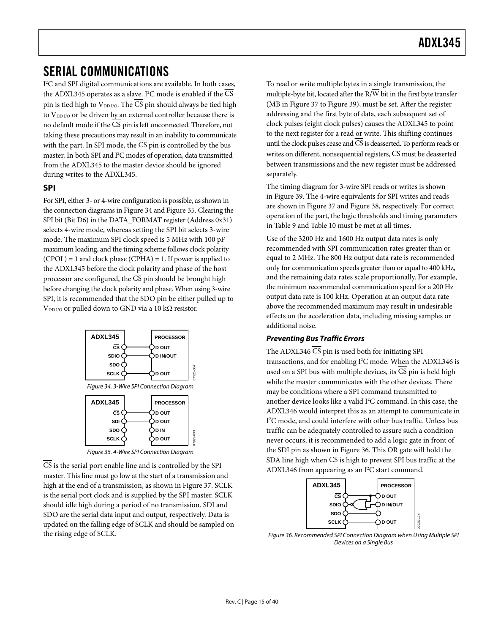### <span id="page-14-1"></span><span id="page-14-0"></span>SERIAL COMMUNICATIONS

I 2 C and SPI digital communications are available. In both cases, the ADXL345 operates as a slave. I<sup>2</sup>C mode is enabled if the CS pin is tied high to VDD I/O. The CS pin should always be tied high to V<sub>DD I/O</sub> or be driven by an external controller because there is no default mode if the  $\overline{\text{CS}}$  pin is left unconnected. Therefore, not taking these precautions may result in an inability to communicate with the part. In SPI mode, the  $\overline{CS}$  pin is controlled by the bus master. In both SPI and I<sup>2</sup>C modes of operation, data transmitted from the ADXL345 to the master device should be ignored during writes to the ADXL345.

#### **SPI**

For SPI, either 3- or 4-wire configuration is possible, as shown in the connection diagrams in [Figure 34](#page-14-2) and [Figure 35](#page-14-3). Clearing the SPI bit (Bit D6) in the DATA\_FORMAT register (Address 0x31) selects 4-wire mode, whereas setting the SPI bit selects 3-wire mode. The maximum SPI clock speed is 5 MHz with 100 pF maximum loading, and the timing scheme follows clock polarity  $(CPOL) = 1$  and clock phase  $(CPHA) = 1$ . If power is applied to the ADXL345 before the clock polarity and phase of the host processor are configured, the CS pin should be brought high before changing the clock polarity and phase. When using 3-wire SPI, it is recommended that the SDO pin be either pulled up to V<sub>DD I/O</sub> or pulled down to GND via a 10 k $\Omega$  resistor.



Figure 35. 4-Wire SPI Connection Diagram

<span id="page-14-4"></span><span id="page-14-3"></span><span id="page-14-2"></span>CS is the serial port enable line and is controlled by the SPI master. This line must go low at the start of a transmission and highat the end of a transmission, as shown in Figure 37. SCLK is the serial port clock and is supplied by the SPI master. SCLK should idle high during a period of no transmission. SDI and SDO are the serial data input and output, respectively. Data is updated on the falling edge of SCLK and should be sampled on the rising edge of SCLK.

To read or write multiple bytes in a single transmission, the multiple-byte bit, located after the  $\overline{R/W}$  bit in the first byte transfer (MBin Figure 37 to Figure 39), must be set. After the register addressing and the first byte of data, each subsequent set of clock pulses (eight clock pulses) causes the ADXL345 to point to the next register for a read or write. This shifting continues until the clock pulses cease and CS is deasserted. To perform reads or writes on different, nonsequential registers,  $\overline{CS}$  must be deasserted between transmissions and the new register must be addressed separately.

The timing diagram for 3-wire SPI reads or writes is shown in [Figure 39](#page-15-1). The 4-wire equivalents for SPI writes and reads are shown in [Figure 37](#page-15-0) and [Figure 38](#page-15-2), respectively. For correct operation of the part, the logic thresholds and timing parameters in [Table 9 a](#page-16-0)nd [Table 10 m](#page-16-0)ust be met at all times.

Use of the 3200 Hz and 1600 Hz output data rates is only recommended with SPI communication rates greater than or equal to 2 MHz. The 800 Hz output data rate is recommended only for communication speeds greater than or equal to 400 kHz, and the remaining data rates scale proportionally. For example, the minimum recommended communication speed for a 200 Hz output data rate is 100 kHz. Operation at an output data rate above the recommended maximum may result in undesirable effects on the acceleration data, including missing samples or additional noise.

#### **Preventing Bus Traffic Errors**

The ADXL346  $\overline{\text{CS}}$  pin is used both for initiating SPI transactions, and for enabling I<sup>2</sup>C mode. When the ADXL346 is used on a SPI bus with multiple devices, its  $\overline{CS}$  pin is held high while the master communicates with the other devices. There may be conditions where a SPI command transmitted to another device looks like a valid I<sup>2</sup>C command. In this case, the ADXL346 would interpret this as an attempt to communicate in I 2 C mode, and could interfere with other bus traffic. Unless bus traffic can be adequately controlled to assure such a condition never occurs, it is recommended to add a logic gate in front of the SDI pin as shown in Figure 36. This OR gate will hold the SDA line high when CS is high to prevent SPI bus traffic at the ADXL346 from appearing as an I<sup>2</sup>C start command.



Figure 36. Recommended SPI Connection Diagram when Using Multiple SPI Devices on a Single Bus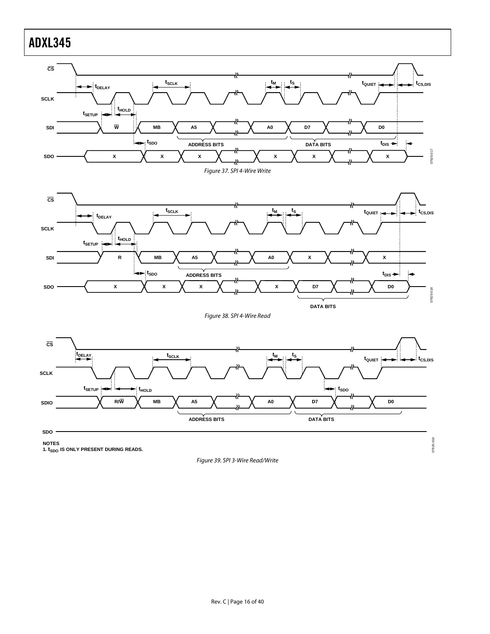<span id="page-15-0"></span>

<span id="page-15-2"></span><span id="page-15-1"></span>NOTES<br>1. t<sub>SDO</sub> IS ONLY PRESENT DURING READS.

Figure 39. SPI 3-Wire Read/Write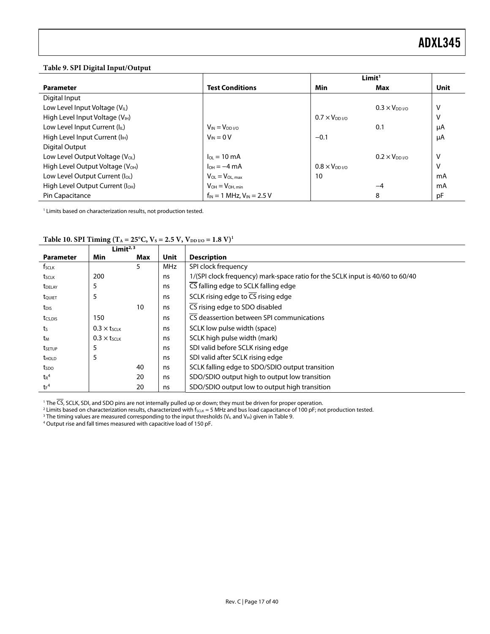#### <span id="page-16-0"></span>**Table 9. SPI Digital Input/Output**

|                                              |                                    | Limit <sup>1</sup>  |                                   |      |
|----------------------------------------------|------------------------------------|---------------------|-----------------------------------|------|
| <b>Parameter</b>                             | <b>Test Conditions</b>             | Min                 | Max                               | Unit |
| Digital Input                                |                                    |                     |                                   |      |
| Low Level Input Voltage $(V_{\text{IL}})$    |                                    |                     | $0.3 \times V_{DD}$ <sub>VO</sub> | v    |
| High Level Input Voltage (VIH)               |                                    | $0.7 \times V_{DD}$ |                                   | ٧    |
| Low Level Input Current (IL)                 | $V_{IN} = V_{DD I/O}$              |                     | 0.1                               | μA   |
| High Level Input Current (I <sub>H</sub> )   | $V_{IN} = 0 V$                     | $-0.1$              |                                   | μA   |
| Digital Output                               |                                    |                     |                                   |      |
| Low Level Output Voltage (VoL)               | $I_{01} = 10 \text{ mA}$           |                     | $0.2 \times V_{DD}$               | v    |
| High Level Output Voltage (V <sub>OH</sub> ) | $I_{OH} = -4 mA$                   | $0.8 \times V_{DD}$ |                                   | v    |
| Low Level Output Current (loL)               | $V_{OL} = V_{OL,max}$              | 10                  |                                   | mA   |
| High Level Output Current (I <sub>OH</sub> ) | $V_{OH} = V_{OH, min}$             |                     | -4                                | mA   |
| Pin Capacitance                              | $f_{IN} = 1$ MHz, $V_{IN} = 2.5$ V |                     | 8                                 | рF   |

<sup>1</sup> Limits based on characterization results, not production tested.

|                     | Limit $2,3$                    |     |            |                                                                               |
|---------------------|--------------------------------|-----|------------|-------------------------------------------------------------------------------|
| <b>Parameter</b>    | Min                            | Max | Unit       | <b>Description</b>                                                            |
| $f_{SCLK}$          |                                | 5   | <b>MHz</b> | SPI clock frequency                                                           |
| tsclk               | 200                            |     | ns         | 1/(SPI clock frequency) mark-space ratio for the SCLK input is 40/60 to 60/40 |
| t <sub>DELAY</sub>  | 5                              |     | ns         | CS falling edge to SCLK falling edge                                          |
| t <sub>QUIET</sub>  | 5                              |     | ns         | SCLK rising edge to $\overline{CS}$ rising edge                               |
| t <sub>DIS</sub>    |                                | 10  | ns         | CS rising edge to SDO disabled                                                |
| t <sub>CS,DIS</sub> | 150                            |     | ns         | $\overline{\text{CS}}$ deassertion between SPI communications                 |
| ts                  | $0.3 \times t$ SCLK            |     | ns         | SCLK low pulse width (space)                                                  |
| tм                  | $0.3 \times t$ <sub>SCLK</sub> |     | ns         | SCLK high pulse width (mark)                                                  |
| tsetup              | 5                              |     | ns         | SDI valid before SCLK rising edge                                             |
| $t_{HOLD}$          | 5                              |     | ns         | SDI valid after SCLK rising edge                                              |
| tspo                |                                | 40  | ns         | SCLK falling edge to SDO/SDIO output transition                               |
| $t_R^4$             |                                | 20  | ns         | SDO/SDIO output high to output low transition                                 |
| $tr^4$              |                                | 20  | ns         | SDO/SDIO output low to output high transition                                 |

Table 10. SPI Timing (T<sub>A</sub> = 25°C, V<sub>S</sub> = 2.5 V, V<sub>DD I/O</sub> = 1.8 V)<sup>1</sup>

<sup>1</sup> The CS, SCLK, SDI, and SDO pins are not internally pulled up or down; they must be driven for proper operation.<br><sup>2</sup> Limits based on characterization results, characterized with form 5 MHz and bus load canacitance of 10

<sup>2</sup> Limits based on characterization results, characterized with fscux = 5 MHz and bus load capacitance of 100 pF; not production tested.

<sup>3</sup> The timing values are measured corresponding to the input thresholds (V<sub>IL</sub> and V<sub>IH</sub>) given in Table 9.<br><sup>4</sup> Output rise and fall times measured with capacitive load of 150 pF.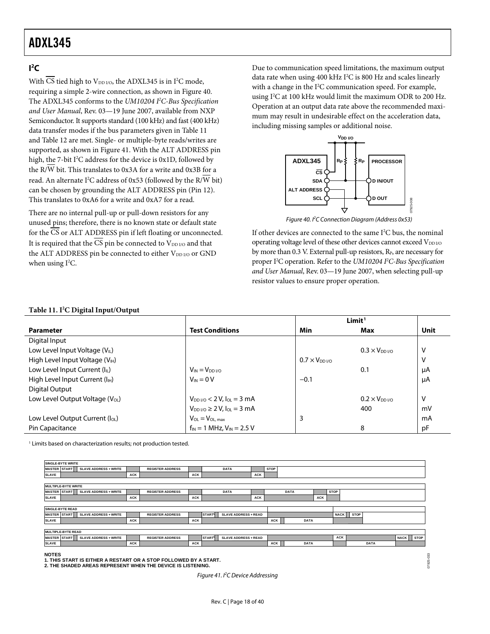#### <span id="page-17-3"></span><span id="page-17-0"></span> $\mathsf{I}^2\mathsf{C}$

With CS tied high to  $V_{DD I/O}$ , the ADXL345 is in I<sup>2</sup>C mode, requiringa simple 2-wire connection, as shown in Figure 40. The ADXL345 conforms to the *UM10204 I 2 C-Bus Specification and User Manual*, Rev. 03—19 June 2007, available from NXP Semiconductor. It supports standard (100 kHz) and fast (400 kHz) data transfer modes if the bus parameters given in Table 11 and Table 12 [a](#page-18-0)re met. Single- or multiple-byte reads/writes are supported, as shown in Figure 41. With the ALT ADDRESS pin high, the 7-bit I<sup>2</sup>C address for the device is  $0x1D$ , followed by the R/ W bit. This translates to 0x3A for a write and 0x3B for a read. An alternate I<sup>2</sup>C address of 0x53 (followed by the R/W bit) can be chosen by grounding the ALT ADDRESS pin (Pin 12). This translates to 0xA6 for a write and 0xA7 for a read.

<span id="page-17-1"></span>There are no internal pull-up or pull-down resistors for any unused pins; therefore, there is no known state or default state for the CS or ALT ADDRESS pin if left floating or unconnected. It is required that the  $\overline{CS}$  pin be connected to  $V_{DD}$  and that the ALT ADDRESS pin be connected to either V<sub>DD I/O</sub> or GND when using  $I^2C$ .

Due to communication speed limitations, the maximum output data rate when using 400 kHz I<sup>2</sup>C is 800 Hz and scales linearly with a change in the I<sup>2</sup>C communication speed. For example, using I<sup>2</sup>C at 100 kHz would limit the maximum ODR to 200 Hz. Operation at an output data rate above the recommended maximum may result in undesirable effect on the acceleration data, including missing samples or additional noise.



Figure 40. PC Connection Diagram (Address 0x53)

07925-008

If other devices are connected to the same I<sup>2</sup>C bus, the nominal operating voltage level of these other devices cannot exceed VDD I/O by more than 0.3 V. External pull-up resistors,  $R<sub>P</sub>$ , are necessary for proper I2 C operation. Refer to the *UM10204 I 2 C-Bus Specification and User Manual*, Rev. 03—19 June 2007, when selecting pull-up resistor values to ensure proper operation.

#### **Table 11. I2 C Digital Input/Output**

|                                             |                                     | Limit <sup>1</sup>  |                                   |      |
|---------------------------------------------|-------------------------------------|---------------------|-----------------------------------|------|
| <b>Parameter</b>                            | <b>Test Conditions</b>              | Min                 | Max                               | Unit |
| Digital Input                               |                                     |                     |                                   |      |
| Low Level Input Voltage (VL)                |                                     |                     | $0.3 \times V_{DD}$ <sub>VO</sub> | V    |
| High Level Input Voltage (V <sub>IH</sub> ) |                                     | $0.7 \times V_{DD}$ |                                   | V    |
| Low Level Input Current (IL)                | $V_{IN} = V_{DD}$ <sub>VO</sub>     |                     | 0.1                               | μA   |
| High Level Input Current (I <sub>H</sub> )  | $V_{IN} = 0 V$                      | $-0.1$              |                                   | μA   |
| Digital Output                              |                                     |                     |                                   |      |
| Low Level Output Voltage (V <sub>OL</sub> ) | $V_{DD1/0}$ < 2 V, $I_{OL}$ = 3 mA  |                     | $0.2 \times V_{DD}$               | V    |
|                                             | $V_{DD I/O} \ge 2 V, I_{OL} = 3 mA$ |                     | 400                               | mV   |
| Low Level Output Current ( $I_{OL}$ )       | $V_{OL} = V_{OL,max}$               | 3                   |                                   | mA   |
| Pin Capacitance                             | $f_{IN}$ = 1 MHz, $V_{IN}$ = 2.5 V  |                     | 8                                 | pF   |

<sup>1</sup> Limits based on characterization results; not production tested.



<span id="page-17-2"></span>**1. THIS START IS EITHER A RESTART OR A STOP FOLLOWED BY A START. 2. THE SHADED AREAS REPRESENT WHEN THE DEVICE IS LISTENING.**

Figure 41. I<sup>2</sup>C Device Addressing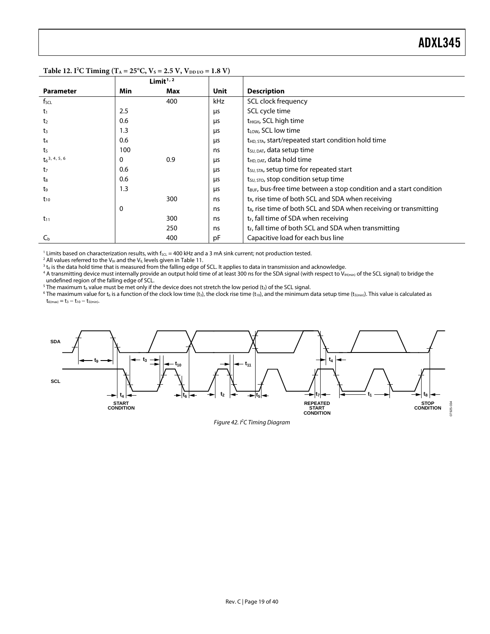|                    |     | Limit $1/2$ |      |                                                                                 |
|--------------------|-----|-------------|------|---------------------------------------------------------------------------------|
| <b>Parameter</b>   | Min | Max         | Unit | <b>Description</b>                                                              |
| $f_{\text{SCL}}$   |     | 400         | kHz  | SCL clock frequency                                                             |
| $t_1$              | 2.5 |             | μs   | SCL cycle time                                                                  |
| t <sub>2</sub>     | 0.6 |             | μs   | t <sub>HIGH</sub> , SCL high time                                               |
| t <sub>3</sub>     | 1.3 |             | μs   | t <sub>LOW</sub> , SCL low time                                                 |
| t <sub>4</sub>     | 0.6 |             | μs   | t <sub>HD</sub> , STA, start/repeated start condition hold time                 |
| t <sub>5</sub>     | 100 |             | ns   | t <sub>su, DAT</sub> , data setup time                                          |
| $t_6^{3, 4, 5, 6}$ | 0   | 0.9         | μs   | $t_{HD, DAT}$ , data hold time                                                  |
| t <sub>7</sub>     | 0.6 |             | μs   | t <sub>su, STA</sub> , setup time for repeated start                            |
| $t_8$              | 0.6 |             | μs   | $t_{\text{SU, STO}}$ , stop condition setup time                                |
| t,                 | 1.3 |             | μs   | t <sub>BUF</sub> , bus-free time between a stop condition and a start condition |
| $t_{10}$           |     | 300         | ns   | $t_{R}$ , rise time of both SCL and SDA when receiving                          |
|                    | 0   |             | ns   | t <sub>R</sub> , rise time of both SCL and SDA when receiving or transmitting   |
| $t_{11}$           |     | 300         | ns   | t <sub>F</sub> , fall time of SDA when receiving                                |
|                    |     | 250         | ns   | t <sub>F</sub> , fall time of both SCL and SDA when transmitting                |
| $C_{b}$            |     | 400         | рF   | Capacitive load for each bus line                                               |

#### <span id="page-18-0"></span>Table 12. I<sup>2</sup>C Timing (T<sub>A</sub> = 25<sup>o</sup>C, V<sub>s</sub> = 2.5 V, V<sub>DD I/O</sub> = 1.8 V)

 $^1$  Limits based on characterization results, with fscL = 400 kHz and a 3 mA sink current; not production tested.<br>2 All values referred to the V… and the V.. levels given in Table 11

 $^2$  All values referred to the V<sub>IH</sub> and the V<sub>IL</sub> levels given in Table 11.<br><sup>3</sup> to is the data bold time that is measured from the falling edge of

<sup>3</sup> t<sub>6</sub> is the data hold time that is measured from the falling edge of SCL. It applies to data in transmission and acknowledge.<br><sup>4</sup> A transmitting device must internally provide an output hold time of at least 300 ns fo undefined region of the falling edge of SCL.

 $^5$  The maximum t<sub>6</sub> value must be met only if the device does not stretch the low period (t<sub>3</sub>) of the SCL signal.<br>6 The maximum value for tais a function of the clock low time (ta) the clock rise time (ta), and the min

<sup>6</sup> The maximum value for t<sub>6</sub> is a function of the clock low time (t<sub>3</sub>), the clock rise time (t<sub>10</sub>), and the minimum data setup time (t<sub>5(min)</sub>). This value is calculated as  $t_{6(max)} = t_3 - t_{10} - t_{5(min)}.$ 



Figure 42. I<sup>2</sup>C Timing Diagram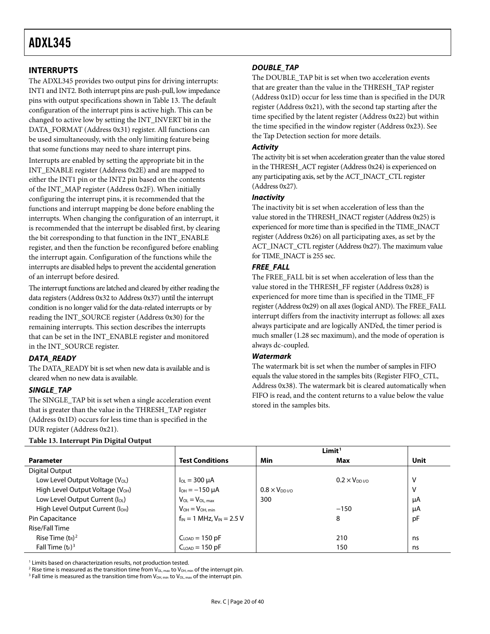#### <span id="page-19-0"></span>**INTERRUPTS**

The ADXL345 provides two output pins for driving interrupts: INT1 and INT2. Both interrupt pins are push-pull, low impedance pins with output specifications shown in [Table 13](#page-19-1). The default configuration of the interrupt pins is active high. This can be changed to active low by setting the INT\_INVERT bit in the DATA\_FORMAT (Address 0x31) register. All functions can be used simultaneously, with the only limiting feature being that some functions may need to share interrupt pins.

Interrupts are enabled by setting the appropriate bit in the INT\_ENABLE register (Address 0x2E) and are mapped to either the INT1 pin or the INT2 pin based on the contents of the INT\_MAP register (Address 0x2F). When initially configuring the interrupt pins, it is recommended that the functions and interrupt mapping be done before enabling the interrupts. When changing the configuration of an interrupt, it is recommended that the interrupt be disabled first, by clearing the bit corresponding to that function in the INT\_ENABLE register, and then the function be reconfigured before enabling the interrupt again. Configuration of the functions while the interrupts are disabled helps to prevent the accidental generation of an interrupt before desired.

The interrupt functions are latched and cleared by either reading the data registers (Address 0x32 to Address 0x37) until the interrupt condition is no longer valid for the data-related interrupts or by reading the INT\_SOURCE register (Address 0x30) for the remaining interrupts. This section describes the interrupts that can be set in the INT\_ENABLE register and monitored in the INT\_SOURCE register.

#### **DATA\_READY**

The DATA\_READY bit is set when new data is available and is cleared when no new data is available.

#### **SINGLE\_TAP**

The SINGLE\_TAP bit is set when a single acceleration event that is greater than the value in the THRESH\_TAP register (Address 0x1D) occurs for less time than is specified in the DUR register (Address 0x21).

### The DOUBLE\_TAP bit is set when two acceleration events

**DOUBLE\_TAP** 

that are greater than the value in the THRESH\_TAP register (Address 0x1D) occur for less time than is specified in the DUR register (Address 0x21), with the second tap starting after the time specified by the latent register (Address 0x22) but within the time specified in the window register (Address 0x23). See the [Tap Detection](#page-27-2) section for more details.

#### **Activity**

The activity bit is set when acceleration greater than the value stored in the THRESH\_ACT register (Address 0x24) is experienced on any participating axis, set by the ACT\_INACT\_CTL register (Address 0x27).

#### **Inactivity**

The inactivity bit is set when acceleration of less than the value stored in the THRESH\_INACT register (Address 0x25) is experienced for more time than is specified in the TIME\_INACT register (Address 0x26) on all participating axes, as set by the ACT\_INACT\_CTL register (Address 0x27). The maximum value for TIME\_INACT is 255 sec.

#### **FREE\_FALL**

The FREE\_FALL bit is set when acceleration of less than the value stored in the THRESH\_FF register (Address 0x28) is experienced for more time than is specified in the TIME\_FF register (Address 0x29) on all axes (logical AND). The FREE\_FALL interrupt differs from the inactivity interrupt as follows: all axes always participate and are logically AND'ed, the timer period is much smaller (1.28 sec maximum), and the mode of operation is always dc-coupled.

#### **Watermark**

The watermark bit is set when the number of samples in FIFO equals the value stored in the samples bits (Register FIFO\_CTL, Address 0x38). The watermark bit is cleared automatically when FIFO is read, and the content returns to a value below the value stored in the samples bits.

|                                              |                                    |                         | Limit <sup>1</sup>                |      |
|----------------------------------------------|------------------------------------|-------------------------|-----------------------------------|------|
| <b>Parameter</b>                             | <b>Test Conditions</b>             | Min                     | Max                               | Unit |
| Digital Output                               |                                    |                         |                                   |      |
| Low Level Output Voltage (V <sub>OL</sub> )  | $I_{OL}$ = 300 $\mu$ A             |                         | $0.2 \times V_{DD}$ <sub>VO</sub> | V    |
| High Level Output Voltage (V <sub>OH</sub> ) | $I_{OH} = -150 \mu A$              | $0.8 \times V_{DD}$ i/o |                                   | V    |
| Low Level Output Current (loL)               | $V_{OL} = V_{OL, max}$             | 300                     |                                   | μA   |
| High Level Output Current (I <sub>OH</sub> ) | $V_{OH} = V_{OH, min}$             |                         | $-150$                            | μA   |
| Pin Capacitance                              | $f_{IN} = 1$ MHz, $V_{IN} = 2.5$ V |                         | 8                                 | pF   |
| Rise/Fall Time                               |                                    |                         |                                   |      |
| Rise Time $(t_R)^2$                          | $CLOAD = 150 pF$                   |                         | 210                               | ns   |
| Fall Time $(t_F)^3$                          | $CLOAD = 150 pF$                   |                         | 150                               | ns   |

#### <span id="page-19-1"></span>**Table 13. Interrupt Pin Digital Output**

<sup>1</sup> Limits based on characterization results, not production tested.<br><sup>2</sup> Rise time is measured as the transition time from Voumu to Voum

<sup>2</sup> Rise time is measured as the transition time from  $V_{OL, max}$  to  $V_{OH, min}$  of the interrupt pin.

<sup>3</sup> Fall time is measured as the transition time from  $V_{OH,min}$  to  $V_{OL,max}$  of the interrupt pin.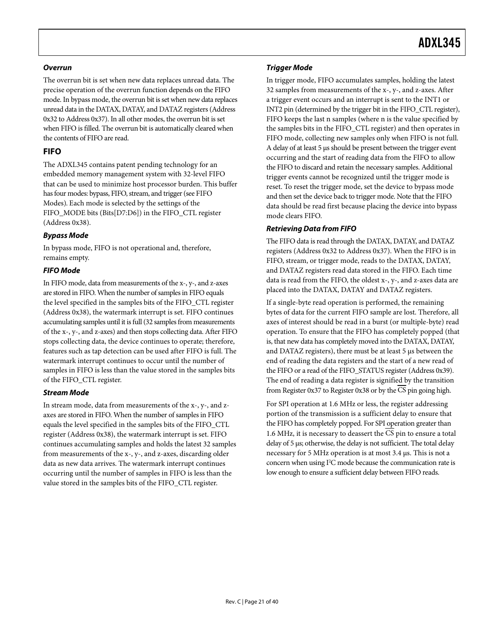#### <span id="page-20-0"></span>**Overrun**

The overrun bit is set when new data replaces unread data. The precise operation of the overrun function depends on the FIFO mode. In bypass mode, the overrun bit is set when new data replaces unread data in the DATAX, DATAY, and DATAZ registers (Address 0x32 to Address 0x37). In all other modes, the overrun bit is set when FIFO is filled. The overrun bit is automatically cleared when the contents of FIFO are read.

#### <span id="page-20-1"></span>**FIFO**

The ADXL345 contains patent pending technology for an embedded memory management system with 32-level FIFO that can be used to minimize host processor burden. This buffer has four modes: bypass, FIFO, stream, and trigger (se[e FIFO](#page-26-0)  [Modes\).](#page-26-0) Each mode is selected by the settings of the FIFO\_MODE bits (Bits[D7:D6]) in the FIFO\_CTL register (Address 0x38).

#### **Bypass Mode**

In bypass mode, FIFO is not operational and, therefore, remains empty.

#### **FIFO Mode**

In FIFO mode, data from measurements of the x-, y-, and z-axes are stored in FIFO. When the number of samples in FIFO equals the level specified in the samples bits of the FIFO\_CTL register (Address 0x38), the watermark interrupt is set. FIFO continues accumulating samples until it is full (32 samples from measurements of the x-, y-, and z-axes) and then stops collecting data. After FIFO stops collecting data, the device continues to operate; therefore, features such as tap detection can be used after FIFO is full. The watermark interrupt continues to occur until the number of samples in FIFO is less than the value stored in the samples bits of the FIFO\_CTL register.

#### **Stream Mode**

In stream mode, data from measurements of the x-, y-, and zaxes are stored in FIFO. When the number of samples in FIFO equals the level specified in the samples bits of the FIFO\_CTL register (Address 0x38), the watermark interrupt is set. FIFO continues accumulating samples and holds the latest 32 samples from measurements of the x-, y-, and z-axes, discarding older data as new data arrives. The watermark interrupt continues occurring until the number of samples in FIFO is less than the value stored in the samples bits of the FIFO\_CTL register.

#### **Trigger Mode**

In trigger mode, FIFO accumulates samples, holding the latest 32 samples from measurements of the x-, y-, and z-axes. After a trigger event occurs and an interrupt is sent to the INT1 or INT2 pin (determined by the trigger bit in the FIFO\_CTL register), FIFO keeps the last n samples (where n is the value specified by the samples bits in the FIFO\_CTL register) and then operates in FIFO mode, collecting new samples only when FIFO is not full. A delay of at least 5 μs should be present between the trigger event occurring and the start of reading data from the FIFO to allow the FIFO to discard and retain the necessary samples. Additional trigger events cannot be recognized until the trigger mode is reset. To reset the trigger mode, set the device to bypass mode and then set the device back to trigger mode. Note that the FIFO data should be read first because placing the device into bypass mode clears FIFO.

#### **Retrieving Data from FIFO**

The FIFO data is read through the DATAX, DATAY, and DATAZ registers (Address 0x32 to Address 0x37). When the FIFO is in FIFO, stream, or trigger mode, reads to the DATAX, DATAY, and DATAZ registers read data stored in the FIFO. Each time data is read from the FIFO, the oldest x-, y-, and z-axes data are placed into the DATAX, DATAY and DATAZ registers.

If a single-byte read operation is performed, the remaining bytes of data for the current FIFO sample are lost. Therefore, all axes of interest should be read in a burst (or multiple-byte) read operation. To ensure that the FIFO has completely popped (that is, that new data has completely moved into the DATAX, DATAY, and DATAZ registers), there must be at least 5 μs between the end of reading the data registers and the start of a new read of the FIFO or a read of the FIFO\_STATUS register (Address 0x39). The end of reading a data register is signified by the transition from Register 0x37 to Register 0x38 or by the CS pin going high.

For SPI operation at 1.6 MHz or less, the register addressing portion of the transmission is a sufficient delay to ensure that the FIFO has completely popped. For SPI operation greater than 1.6 MHz, it is necessary to deassert the CS pin to ensure a total delay of 5 μs; otherwise, the delay is not sufficient. The total delay necessary for 5 MHz operation is at most 3.4 μs. This is not a concern when using I<sup>2</sup>C mode because the communication rate is low enough to ensure a sufficient delay between FIFO reads.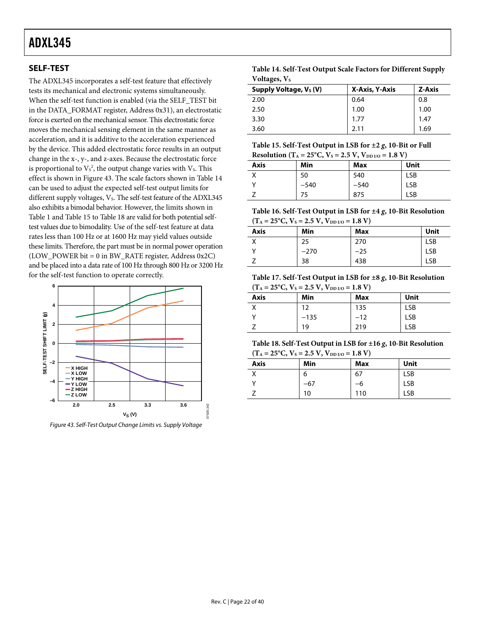<span id="page-21-2"></span>The ADXL345 incorporates a self-test feature that effectively tests its mechanical and electronic systems simultaneously. When the self-test function is enabled (via the SELF\_TEST bit in the DATA\_FORMAT register, Address 0x31), an electrostatic force is exerted on the mechanical sensor. This electrostatic force moves the mechanical sensing element in the same manner as acceleration, and it is additive to the acceleration experienced by the device. This added electrostatic force results in an output change in the x-, y-, and z-axes. Because the electrostatic force is proportional to  $Vs^2$ , the output change varies with  $Vs$ . This effect is shown in [Figure 43](#page-21-1). The scale factors shown in Table 14 can be used to adjust the expected self-test output limits for different supply voltages, V<sub>s</sub>. The self-test feature of the ADXL345 also exhibits a bimodal behavior. However, the limits shown in [Table 1](#page-3-1) and [Table 15](#page-21-2) to [Table 18](#page-21-3) are valid for both potential selftest values due to bimodality. Use of the self-test feature at data rates less than 100 Hz or at 1600 Hz may yield values outside these limits. Therefore, the part must be in normal power operation (LOW\_POWER bit = 0 in BW\_RATE register, Address 0x2C) and be placed into a data rate of 100 Hz through 800 Hz or 3200 Hz for the self-test function to operate correctly.

<span id="page-21-4"></span><span id="page-21-3"></span>

<span id="page-21-1"></span>Figure 43. Self-Test Output Change Limits vs. Supply Voltage

<span id="page-21-5"></span><span id="page-21-0"></span>**SELF-TEST Table 14. Self-Test Output Scale Factors for Different Supply Voltages**, V<sub>s</sub>

| Supply Voltage, V <sub>s</sub> (V) | X-Axis, Y-Axis | Z-Axis |
|------------------------------------|----------------|--------|
| 2.00                               | 0.64           | 0.8    |
| 2.50                               | 1.00           | 1.00   |
| 3.30                               | 1.77           | 1.47   |
| 3.60                               | 2.11           | 1.69   |

**Table 15. Self-Test Output in LSB for ±2** *g***, 10-Bit or Full Resolution** ( $T_A = 25^{\circ}C$ ,  $V_s = 2.5$  V,  $V_{DDUQ} = 1.8$  V)

|      | <b>INCOUNTING (1A = 20 C)</b> , $\mathbf{v}_5$ = 2.0 $\mathbf{v}_2$ , $\mathbf{v}_{D110}$ = 1.0 $\mathbf{v}_1$ |        |            |
|------|----------------------------------------------------------------------------------------------------------------|--------|------------|
| Axis | Min                                                                                                            | Max    | Unit       |
|      | 50                                                                                                             | 540    | <b>LSB</b> |
|      | $-540$                                                                                                         | $-540$ | <b>LSB</b> |
|      | 75                                                                                                             | 875    | <b>LSB</b> |

**Table 16. Self-Test Output in LSB for ±4** *g***, 10-Bit Resolution**   $(T_A = 25^{\circ}C, V_s = 2.5 V, V_{DDUO} = 1.8 V)$ 

|      | $(1.4 - 2.5)$ C, $\sqrt{3} - 2.5$ ( $\sqrt{10}$ ) $1/0 - 1.0$ |       |            |
|------|---------------------------------------------------------------|-------|------------|
| Axis | Min                                                           | Max   | Unit       |
|      | 25                                                            | 270   | <b>LSB</b> |
|      | $-270$                                                        | $-25$ | <b>LSB</b> |
|      | 38                                                            | 438   | <b>LSB</b> |

**Table 17. Self-Test Output in LSB for ±8** *g***, 10-Bit Resolution**   $(T_A = 25^{\circ}C, V_S = 2.5 V, V_{DD I/O} = 1.8 V)$ 

| <b>Axis</b> | Min    | Max | Unit |
|-------------|--------|-----|------|
|             | 12     | 135 | LSB  |
| $\cdot$     | $-135$ | -12 | LSB  |
|             | 19     | 219 | LSB  |

**Table 18. Self-Test Output in LSB for ±16** *g***, 10-Bit Resolution**   $(150C, V) = 2.5 V, V = -1.8 V$ 

| $I_A = 25$ C, $V_S = 2.5$ V, $V_{DD1/0} = 1.5$ V) |     |     |            |  |  |  |  |
|---------------------------------------------------|-----|-----|------------|--|--|--|--|
| Axis                                              | Min | Max | Unit       |  |  |  |  |
|                                                   | 6   | 67  | <b>LSB</b> |  |  |  |  |
|                                                   | -67 | -6  | <b>LSB</b> |  |  |  |  |
|                                                   | 10  | 110 | LSB        |  |  |  |  |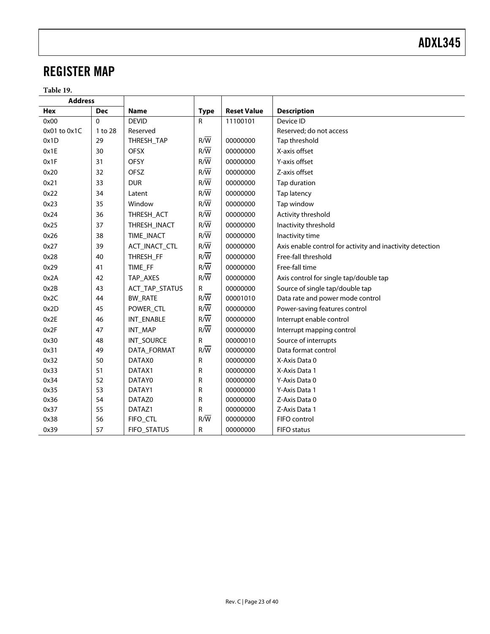### <span id="page-22-0"></span>REGISTER MAP

**Table 19.** 

| <b>Address</b> |            |                |                  |                    |                                                           |
|----------------|------------|----------------|------------------|--------------------|-----------------------------------------------------------|
| <b>Hex</b>     | <b>Dec</b> | <b>Name</b>    | <b>Type</b>      | <b>Reset Value</b> | <b>Description</b>                                        |
| 0x00           | $\Omega$   | <b>DEVID</b>   | $\mathsf{R}$     | 11100101           | Device ID                                                 |
| 0x01 to 0x1C   | 1 to 28    | Reserved       |                  |                    | Reserved; do not access                                   |
| 0x1D           | 29         | THRESH_TAP     | $R/\overline{W}$ | 00000000           | Tap threshold                                             |
| 0x1E           | 30         | <b>OFSX</b>    | $R/\overline{W}$ | 00000000           | X-axis offset                                             |
| 0x1F           | 31         | <b>OFSY</b>    | $R/\overline{W}$ | 00000000           | Y-axis offset                                             |
| 0x20           | 32         | OFSZ           | $R/\overline{W}$ | 00000000           | Z-axis offset                                             |
| 0x21           | 33         | <b>DUR</b>     | $R/\overline{W}$ | 00000000           | Tap duration                                              |
| 0x22           | 34         | Latent         | $R/\overline{W}$ | 00000000           | Tap latency                                               |
| 0x23           | 35         | Window         | $R/\overline{W}$ | 00000000           | Tap window                                                |
| 0x24           | 36         | THRESH_ACT     | $R/\overline{W}$ | 00000000           | Activity threshold                                        |
| 0x25           | 37         | THRESH_INACT   | $R/\overline{W}$ | 00000000           | Inactivity threshold                                      |
| 0x26           | 38         | TIME_INACT     | $R/\overline{W}$ | 00000000           | Inactivity time                                           |
| 0x27           | 39         | ACT_INACT_CTL  | $R/\overline{W}$ | 00000000           | Axis enable control for activity and inactivity detection |
| 0x28           | 40         | THRESH_FF      | $R/\overline{W}$ | 00000000           | Free-fall threshold                                       |
| 0x29           | 41         | TIME_FF        | $R/\overline{W}$ | 00000000           | Free-fall time                                            |
| 0x2A           | 42         | TAP_AXES       | $R/\overline{W}$ | 00000000           | Axis control for single tap/double tap                    |
| 0x2B           | 43         | ACT_TAP_STATUS | R                | 00000000           | Source of single tap/double tap                           |
| 0x2C           | 44         | <b>BW_RATE</b> | $R/\overline{W}$ | 00001010           | Data rate and power mode control                          |
| 0x2D           | 45         | POWER_CTL      | $R/\overline{W}$ | 00000000           | Power-saving features control                             |
| 0x2E           | 46         | INT_ENABLE     | $R/\overline{W}$ | 00000000           | Interrupt enable control                                  |
| 0x2F           | 47         | INT_MAP        | $R/\overline{W}$ | 00000000           | Interrupt mapping control                                 |
| 0x30           | 48         | INT_SOURCE     | R                | 00000010           | Source of interrupts                                      |
| 0x31           | 49         | DATA_FORMAT    | $R/\overline{W}$ | 00000000           | Data format control                                       |
| 0x32           | 50         | DATAX0         | ${\sf R}$        | 00000000           | X-Axis Data 0                                             |
| 0x33           | 51         | DATAX1         | R                | 00000000           | X-Axis Data 1                                             |
| 0x34           | 52         | DATAY0         | R                | 00000000           | Y-Axis Data 0                                             |
| 0x35           | 53         | DATAY1         | ${\sf R}$        | 00000000           | Y-Axis Data 1                                             |
| 0x36           | 54         | DATAZ0         | R                | 00000000           | Z-Axis Data 0                                             |
| 0x37           | 55         | DATAZ1         | R                | 00000000           | Z-Axis Data 1                                             |
| 0x38           | 56         | FIFO_CTL       | $R/\overline{W}$ | 00000000           | FIFO control                                              |
| 0x39           | 57         | FIFO_STATUS    | $\mathsf R$      | 00000000           | <b>FIFO</b> status                                        |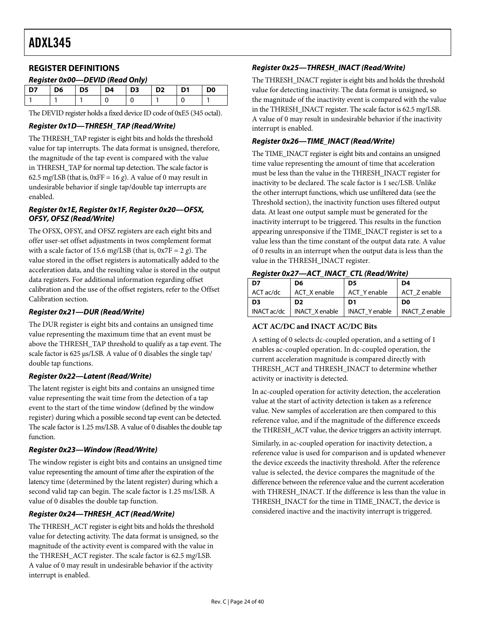#### <span id="page-23-0"></span>**REGISTER DEFINITIONS**

#### **Register 0x00—DEVID (Read Only)**

| D7 | D6 | D5 | <b>D4</b> | $\overline{D}$ D3 | $\overline{D2}$ | D1 | D <sub>0</sub> |
|----|----|----|-----------|-------------------|-----------------|----|----------------|
|    |    |    |           |                   |                 |    |                |
|    |    |    |           |                   |                 |    |                |

The DEVID register holds a fixed device ID code of 0xE5 (345 octal).

#### **Register 0x1D—THRESH\_TAP (Read/Write)**

The THRESH\_TAP register is eight bits and holds the threshold value for tap interrupts. The data format is unsigned, therefore, the magnitude of the tap event is compared with the value in THRESH\_TAP for normal tap detection. The scale factor is 62.5 mg/LSB (that is,  $0xFF = 16 g$ ). A value of 0 may result in undesirable behavior if single tap/double tap interrupts are enabled.

#### **Register 0x1E, Register 0x1F, Register 0x20—OFSX, OFSY, OFSZ (Read/Write)**

The OFSX, OFSY, and OFSZ registers are each eight bits and offer user-set offset adjustments in twos complement format with a scale factor of 15.6 m*g*/LSB (that is, 0x7F = 2 *g*). The value stored in the offset registers is automatically added to the acceleration data, and the resulting value is stored in the output data registers. For additional information regarding offset calibration and the use of the offset registers, refer to th[e Offset](#page-29-1)  [Calibration](#page-29-1) section.

#### **Register 0x21—DUR (Read/Write)**

The DUR register is eight bits and contains an unsigned time value representing the maximum time that an event must be above the THRESH\_TAP threshold to qualify as a tap event. The scale factor is 625 μs/LSB. A value of 0 disables the single tap/ double tap functions.

#### **Register 0x22—Latent (Read/Write)**

The latent register is eight bits and contains an unsigned time value representing the wait time from the detection of a tap event to the start of the time window (defined by the window register) during which a possible second tap event can be detected. The scale factor is 1.25 ms/LSB. A value of 0 disables the double tap function.

#### **Register 0x23—Window (Read/Write)**

The window register is eight bits and contains an unsigned time value representing the amount of time after the expiration of the latency time (determined by the latent register) during which a second valid tap can begin. The scale factor is 1.25 ms/LSB. A value of 0 disables the double tap function.

#### **Register 0x24—THRESH\_ACT (Read/Write)**

The THRESH\_ACT register is eight bits and holds the threshold value for detecting activity. The data format is unsigned, so the magnitude of the activity event is compared with the value in the THRESH\_ACT register. The scale factor is 62.5 m*g*/LSB. A value of 0 may result in undesirable behavior if the activity interrupt is enabled.

#### **Register 0x25—THRESH\_INACT (Read/Write)**

The THRESH\_INACT register is eight bits and holds the threshold value for detecting inactivity. The data format is unsigned, so the magnitude of the inactivity event is compared with the value in the THRESH\_INACT register. The scale factor is 62.5 m*g*/LSB. A value of 0 may result in undesirable behavior if the inactivity interrupt is enabled.

#### **Register 0x26—TIME\_INACT (Read/Write)**

The TIME\_INACT register is eight bits and contains an unsigned time value representing the amount of time that acceleration must be less than the value in the THRESH\_INACT register for inactivity to be declared. The scale factor is 1 sec/LSB. Unlike the other interrupt functions, which use unfiltered data (see the [Threshold](#page-28-1) section), the inactivity function uses filtered output data. At least one output sample must be generated for the inactivity interrupt to be triggered. This results in the function appearing unresponsive if the TIME\_INACT register is set to a value less than the time constant of the output data rate. A value of 0 results in an interrupt when the output data is less than the value in the THRESH\_INACT register.

#### **Register 0x27—ACT\_INACT\_CTL (Read/Write)**

| D7          | D6                    | D5                    | D4                    |
|-------------|-----------------------|-----------------------|-----------------------|
| ACT ac/dc   | ACT X enable          | ACT Y enable          | ACT Z enable          |
| D3          | D <sub>2</sub>        | D1                    | D <sub>0</sub>        |
| INACT ac/dc | <b>INACT X enable</b> | <b>INACT Y enable</b> | <b>INACT Z enable</b> |

#### **ACT AC/DC and INACT AC/DC Bits**

A setting of 0 selects dc-coupled operation, and a setting of 1 enables ac-coupled operation. In dc-coupled operation, the current acceleration magnitude is compared directly with THRESH\_ACT and THRESH\_INACT to determine whether activity or inactivity is detected.

In ac-coupled operation for activity detection, the acceleration value at the start of activity detection is taken as a reference value. New samples of acceleration are then compared to this reference value, and if the magnitude of the difference exceeds the THRESH\_ACT value, the device triggers an activity interrupt.

Similarly, in ac-coupled operation for inactivity detection, a reference value is used for comparison and is updated whenever the device exceeds the inactivity threshold. After the reference value is selected, the device compares the magnitude of the difference between the reference value and the current acceleration with THRESH\_INACT. If the difference is less than the value in THRESH\_INACT for the time in TIME\_INACT, the device is considered inactive and the inactivity interrupt is triggered.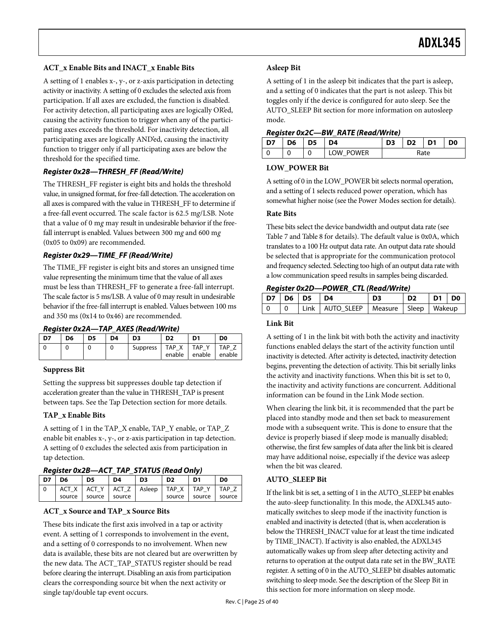#### **ACT\_x Enable Bits and INACT\_x Enable Bits**

A setting of 1 enables x-, y-, or z-axis participation in detecting activity or inactivity. A setting of 0 excludes the selected axis from participation. If all axes are excluded, the function is disabled. For activity detection, all participating axes are logically OR'ed, causing the activity function to trigger when any of the participating axes exceeds the threshold. For inactivity detection, all participating axes are logically AND'ed, causing the inactivity function to trigger only if all participating axes are below the threshold for the specified time.

#### **Register 0x28—THRESH\_FF (Read/Write)**

The THRESH\_FF register is eight bits and holds the threshold value, in unsigned format, for free-fall detection. The acceleration on all axes is compared with the value in THRESH\_FF to determine if a free-fall event occurred. The scale factor is 62.5 m*g*/LSB. Note that a value of 0 m*g* may result in undesirable behavior if the freefall interrupt is enabled. Values between 300 m*g* and 600 m*g* (0x05 to 0x09) are recommended.

#### **Register 0x29—TIME\_FF (Read/Write)**

The TIME\_FF register is eight bits and stores an unsigned time value representing the minimum time that the value of all axes must be less than THRESH\_FF to generate a free-fall interrupt. The scale factor is 5 ms/LSB. A value of 0 may result in undesirable behavior if the free-fall interrupt is enabled. Values between 100 ms and 350 ms (0x14 to 0x46) are recommended.

#### **Register 0x2A—TAP\_AXES (Read/Write)**

<span id="page-24-1"></span>

| D7 | D6 | D5 | D4 | D <sub>3</sub>  | D <sub>2</sub>     | וח            | D <sub>0</sub> |
|----|----|----|----|-----------------|--------------------|---------------|----------------|
|    |    |    |    | <b>Suppress</b> | Χ<br>TAP<br>enable | TAP<br>enable | TAP<br>enable  |

#### **Suppress Bit**

Setting the suppress bit suppresses double tap detection if acceleration greater than the value in THRESH\_TAP is present between taps. See the [Tap Detection](#page-27-2) section for more details.

#### **TAP\_x Enable Bits**

A setting of 1 in the TAP\_X enable, TAP\_Y enable, or TAP\_Z enable bit enables x-, y-, or z-axis participation in tap detection. A setting of 0 excludes the selected axis from participation in tap detection.

**Register 0x2B—ACT\_TAP\_STATUS (Read Only)** 

<span id="page-24-0"></span>

| D7 | D <sub>6</sub> | D <sub>5</sub>                                         | D <sub>4</sub> | D <sub>3</sub> | D <sub>2</sub> | D <sub>1</sub>       | D <sub>0</sub> |  |  |  |
|----|----------------|--------------------------------------------------------|----------------|----------------|----------------|----------------------|----------------|--|--|--|
|    |                | ACT X   ACT Y   ACT Z   Asleep   TAP X   TAP Y   TAP Z |                |                |                |                      |                |  |  |  |
|    | source 1       | source Source                                          |                |                |                | source source source |                |  |  |  |

#### **ACT\_x Source and TAP\_x Source Bits**

These bits indicate the first axis involved in a tap or activity event. A setting of 1 corresponds to involvement in the event, and a setting of 0 corresponds to no involvement. When new data is available, these bits are not cleared but are overwritten by the new data. The ACT\_TAP\_STATUS register should be read before clearing the interrupt. Disabling an axis from participation clears the corresponding source bit when the next activity or single tap/double tap event occurs.

#### **Asleep Bit**

A setting of 1 in the asleep bit indicates that the part is asleep, and a setting of 0 indicates that the part is not asleep. This bit toggles only if the device is configured for auto sleep. See the [AUTO\\_SLEEP Bit](#page-24-0) section for more information on autosleep mode.

#### **Register 0x2C—BW\_RATE (Read/Write)**

| D7 | D6 | D5 | D4        | D <sub>2</sub> | D <sub>1</sub> | D <sub>0</sub> |
|----|----|----|-----------|----------------|----------------|----------------|
|    |    |    | LOW POWER | Rate           |                |                |

#### **LOW\_POWER Bit**

A setting of 0 in the LOW\_POWER bit selects normal operation, and a setting of 1 selects reduced power operation, which has somewhat higher noise (see the [Power Modes](#page-13-3) section for details).

#### **Rate Bits**

These bits select the device bandwidth and output data rate (see [Table 7](#page-13-1) and [Table 8](#page-13-2) for details). The default value is 0x0A, which translates to a 100 Hz output data rate. An output data rate should be selected that is appropriate for the communication protocol and frequency selected. Selecting too high of an output data rate with a low communication speed results in samples being discarded.

#### **Register 0x2D—POWER\_CTL (Read/Write)**

| . . <del>.</del> |  |  |                                              |                |                |    |    |  |
|------------------|--|--|----------------------------------------------|----------------|----------------|----|----|--|
| $D7$ D6 D5       |  |  | $\overline{a}$                               | D <sub>3</sub> | D <sub>2</sub> | D1 | D0 |  |
|                  |  |  | Link   AUTO SLEEP   Measure   Sleep   Wakeup |                |                |    |    |  |

#### **Link Bit**

A setting of 1 in the link bit with both the activity and inactivity functions enabled delays the start of the activity function until inactivity is detected. After activity is detected, inactivity detection begins, preventing the detection of activity. This bit serially links the activity and inactivity functions. When this bit is set to 0, the inactivity and activity functions are concurrent. Additional information can be found in the [Link Mode](#page-28-2) section.

When clearing the link bit, it is recommended that the part be placed into standby mode and then set back to measurement mode with a subsequent write. This is done to ensure that the device is properly biased if sleep mode is manually disabled; otherwise, the first few samples of data after the link bit is cleared may have additional noise, especially if the device was asleep when the bit was cleared.

#### **AUTO\_SLEEP Bit**

If the link bit is set, a setting of 1 in the AUTO\_SLEEP bit enables the auto-sleep functionality. In this mode, the ADXL345 automatically switches to sleep mode if the inactivity function is enabled and inactivity is detected (that is, when acceleration is below the THRESH\_INACT value for at least the time indicated by TIME\_INACT). If activity is also enabled, the ADXL345 automatically wakes up from sleep after detecting activity and returns to operation at the output data rate set in the BW\_RATE register. A setting of 0 in the AUTO\_SLEEP bit disables automatic switching to sleep mode. See the description of the [Sleep Bit](#page-25-0) in this section for more information on sleep mode.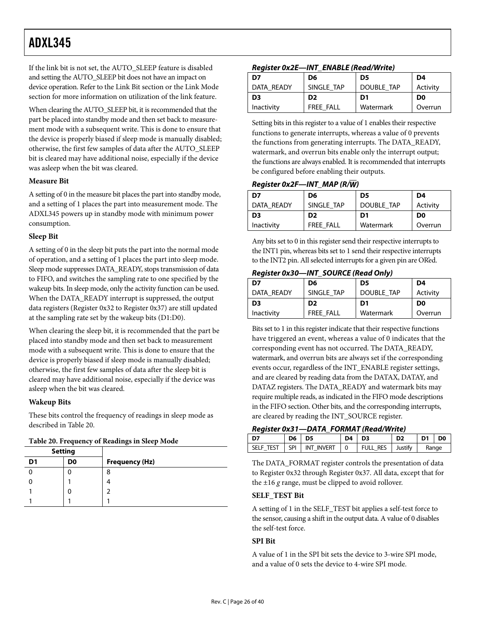If the link bit is not set, the AUTO\_SLEEP feature is disabled and setting the AUTO\_SLEEP bit does not have an impact on device operation. Refer to the [Link Bit](#page-24-1) section or the [Link Mode](#page-28-2) section for more information on utilization of the link feature.

When clearing the AUTO\_SLEEP bit, it is recommended that the part be placed into standby mode and then set back to measurement mode with a subsequent write. This is done to ensure that the device is properly biased if sleep mode is manually disabled; otherwise, the first few samples of data after the AUTO\_SLEEP bit is cleared may have additional noise, especially if the device was asleep when the bit was cleared.

#### **Measure Bit**

A setting of 0 in the measure bit places the part into standby mode, and a setting of 1 places the part into measurement mode. The ADXL345 powers up in standby mode with minimum power consumption.

#### <span id="page-25-0"></span>**Sleep Bit**

A setting of 0 in the sleep bit puts the part into the normal mode of operation, and a setting of 1 places the part into sleep mode. Sleep mode suppresses DATA\_READY, stops transmission of data to FIFO, and switches the sampling rate to one specified by the wakeup bits. In sleep mode, only the activity function can be used. When the DATA\_READY interrupt is suppressed, the output data registers (Register 0x32 to Register 0x37) are still updated at the sampling rate set by the wakeup bits (D1:D0).

When clearing the sleep bit, it is recommended that the part be placed into standby mode and then set back to measurement mode with a subsequent write. This is done to ensure that the device is properly biased if sleep mode is manually disabled; otherwise, the first few samples of data after the sleep bit is cleared may have additional noise, especially if the device was asleep when the bit was cleared.

#### **Wakeup Bits**

These bits control the frequency of readings in sleep mode as described in Table 20.

|  |  |  | Table 20. Frequency of Readings in Sleep Mode |
|--|--|--|-----------------------------------------------|
|--|--|--|-----------------------------------------------|

| <b>Setting</b> |    |                       |
|----------------|----|-----------------------|
| D <sub>1</sub> | D0 | <b>Frequency (Hz)</b> |
|                |    | 8                     |
|                |    |                       |
|                | O  |                       |
|                |    |                       |

#### **Register 0x2E—INT\_ENABLE (Read/Write)**

| D7         | D6             | D5                | D4             |
|------------|----------------|-------------------|----------------|
| DATA READY | SINGLE TAP     | <b>DOUBLE TAP</b> | Activity       |
| D3         | D <sub>2</sub> | D1                | D <sub>0</sub> |
| Inactivity | FREE FALL      | Watermark         | Overrun        |

Setting bits in this register to a value of 1 enables their respective functions to generate interrupts, whereas a value of 0 prevents the functions from generating interrupts. The DATA\_READY, watermark, and overrun bits enable only the interrupt output; the functions are always enabled. It is recommended that interrupts be configured before enabling their outputs.

#### **Register 0x2F—INT\_MAP (R/W)**

| D7         | D6             | D5         | D4       |
|------------|----------------|------------|----------|
| DATA READY | SINGLE TAP     | DOUBLE TAP | Activity |
| D3         | D <sub>2</sub> | D1         | D0       |
| Inactivity | FREE FALL      | Watermark  | Overrun  |

Any bits set to 0 in this register send their respective interrupts to the INT1 pin, whereas bits set to 1 send their respective interrupts to the INT2 pin. All selected interrupts for a given pin are OR'ed.

#### **Register 0x30—INT\_SOURCE (Read Only)**

| D7             | D6               | D5         | D4             |
|----------------|------------------|------------|----------------|
| DATA READY     | SINGLE TAP       | DOUBLE TAP | Activity       |
| D <sub>3</sub> | D <sub>2</sub>   | D1         | D <sub>0</sub> |
| Inactivity     | <b>FREE FALL</b> | Watermark  | Overrun        |

Bits set to 1 in this register indicate that their respective functions have triggered an event, whereas a value of 0 indicates that the corresponding event has not occurred. The DATA\_READY, watermark, and overrun bits are always set if the corresponding events occur, regardless of the INT\_ENABLE register settings, and are cleared by reading data from the DATAX, DATAY, and DATAZ registers. The DATA\_READY and watermark bits may require multiple reads, as indicated in the FIFO mode descriptions in the [FIFO](#page-20-1) section. Other bits, and the corresponding interrupts, are cleared by reading the INT\_SOURCE register.

#### **Register 0x31—DATA\_FORMAT (Read/Write)**

| l D7 | D6 D5 |                                  |  | $D4$ $D3$               | D <sub>2</sub> | D1 l | D <sub>0</sub> |
|------|-------|----------------------------------|--|-------------------------|----------------|------|----------------|
|      |       | SELF TEST   SPI   INT INVERT   0 |  | <b>FULL RES</b> Justify |                |      | Range          |

The DATA\_FORMAT register controls the presentation of data to Register 0x32 through Register 0x37. All data, except that for the ±16 *g* range, must be clipped to avoid rollover.

#### **SELF\_TEST Bit**

A setting of 1 in the SELF\_TEST bit applies a self-test force to the sensor, causing a shift in the output data. A value of 0 disables the self-test force.

#### **SPI Bit**

A value of 1 in the SPI bit sets the device to 3-wire SPI mode, and a value of 0 sets the device to 4-wire SPI mode.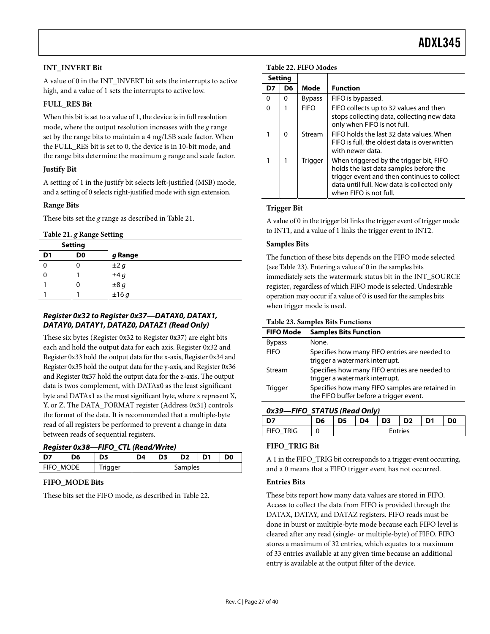#### <span id="page-26-0"></span>**INT\_INVERT Bit**

A value of 0 in the INT\_INVERT bit sets the interrupts to active high, and a value of 1 sets the interrupts to active low.

#### **FULL\_RES Bit**

When this bit is set to a value of 1, the device is in full resolution mode, where the output resolution increases with the *g* range set by the range bits to maintain a 4 m*g*/LSB scale factor. When the FULL\_RES bit is set to 0, the device is in 10-bit mode, and the range bits determine the maximum *g* range and scale factor.

#### **Justify Bit**

A setting of 1 in the justify bit selects left-justified (MSB) mode, and a setting of 0 selects right-justified mode with sign extension.

#### **Range Bits**

These bits set the *g* range as described in Table 21.

#### **Table 21.** *g* **Range Setting**

|                | <b>Setting</b> |                                      |
|----------------|----------------|--------------------------------------|
| D <sub>1</sub> | D <sub>0</sub> | g Range                              |
|                | U              | $\pm 2g$                             |
|                |                |                                      |
|                | 0              | $\pm 4 g$<br>$\pm 8 g$<br>$\pm 16 g$ |
|                |                |                                      |

#### **Register 0x32 to Register 0x37—DATAX0, DATAX1, DATAY0, DATAY1, DATAZ0, DATAZ1 (Read Only)**

These six bytes (Register 0x32 to Register 0x37) are eight bits each and hold the output data for each axis. Register 0x32 and Register 0x33 hold the output data for the x-axis, Register 0x34 and Register 0x35 hold the output data for the y-axis, and Register 0x36 and Register 0x37 hold the output data for the z-axis. The output data is twos complement, with DATAx0 as the least significant byte and DATAx1 as the most significant byte, where x represent X, Y, or Z. The DATA\_FORMAT register (Address 0x31) controls the format of the data. It is recommended that a multiple-byte read of all registers be performed to prevent a change in data between reads of sequential registers.

#### **Register 0x38—FIFO\_CTL (Read/Write)**

| D7        | D6 | D5      | D4      | D <sub>3</sub> | D <sub>2</sub> | D <sub>1</sub> | D <sub>0</sub> |
|-----------|----|---------|---------|----------------|----------------|----------------|----------------|
| FIFO MODE |    | Trigger | Samples |                |                |                |                |

#### **FIFO\_MODE Bits**

These bits set the FIFO mode, as described in Table 22.

|          | <b>Setting</b> |               |                                                                                                                                                                                                           |
|----------|----------------|---------------|-----------------------------------------------------------------------------------------------------------------------------------------------------------------------------------------------------------|
| D7       | D6             | Mode          | <b>Function</b>                                                                                                                                                                                           |
| $\Omega$ | 0              | <b>Bypass</b> | FIFO is bypassed.                                                                                                                                                                                         |
| $\Omega$ |                | <b>FIFO</b>   | FIFO collects up to 32 values and then<br>stops collecting data, collecting new data<br>only when FIFO is not full.                                                                                       |
| 1        | 0              | Stream        | FIFO holds the last 32 data values. When<br>FIFO is full, the oldest data is overwritten<br>with newer data.                                                                                              |
| 1        |                | Trigger       | When triggered by the trigger bit, FIFO<br>holds the last data samples before the<br>trigger event and then continues to collect<br>data until full. New data is collected only<br>when FIFO is not full. |

#### **Trigger Bit**

A value of 0 in the trigger bit links the trigger event of trigger mode to INT1, and a value of 1 links the trigger event to INT2.

#### **Samples Bits**

The function of these bits depends on the FIFO mode selected (see Table 23). Entering a value of 0 in the samples bits immediately sets the watermark status bit in the INT\_SOURCE register, regardless of which FIFO mode is selected. Undesirable operation may occur if a value of 0 is used for the samples bits when trigger mode is used.

#### **Table 23. Samples Bits Functions**

| <b>FIFO Mode</b> | <b>Samples Bits Function</b>                                                               |
|------------------|--------------------------------------------------------------------------------------------|
| <b>Bypass</b>    | None.                                                                                      |
| <b>FIFO</b>      | Specifies how many FIFO entries are needed to<br>trigger a watermark interrupt.            |
| Stream           | Specifies how many FIFO entries are needed to<br>trigger a watermark interrupt.            |
| Trigger          | Specifies how many FIFO samples are retained in<br>the FIFO buffer before a trigger event. |
|                  |                                                                                            |

**0x39—FIFO\_STATUS (Read Only)** 

| $\frac{1}{1!}$ |    |      |                |    |                 |      |                |  |
|----------------|----|------|----------------|----|-----------------|------|----------------|--|
|                | D6 | l D5 | $\overline{P}$ | D3 | $\overline{D2}$ | l D1 | D <sub>0</sub> |  |
| i fifo trig    |    |      |                |    | <b>Entries</b>  |      |                |  |

#### **FIFO\_TRIG Bit**

A 1 in the FIFO\_TRIG bit corresponds to a trigger event occurring, and a 0 means that a FIFO trigger event has not occurred.

#### **Entries Bits**

These bits report how many data values are stored in FIFO. Access to collect the data from FIFO is provided through the DATAX, DATAY, and DATAZ registers. FIFO reads must be done in burst or multiple-byte mode because each FIFO level is cleared after any read (single- or multiple-byte) of FIFO. FIFO stores a maximum of 32 entries, which equates to a maximum of 33 entries available at any given time because an additional entry is available at the output filter of the device.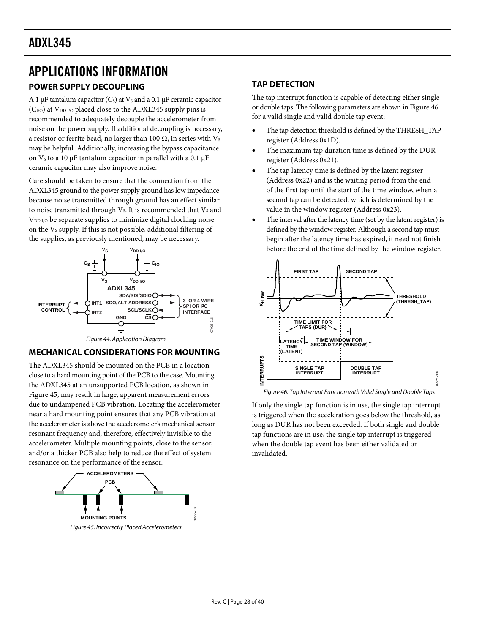# <span id="page-27-1"></span><span id="page-27-0"></span>APPLICATIONS INFORMATION

#### <span id="page-27-2"></span>**POWER SUPPLY DECOUPLING**

A 1  $\mu$ F tantalum capacitor (C<sub>s</sub>) at V<sub>s</sub> and a 0.1  $\mu$ F ceramic capacitor  $(C<sub>I/O</sub>)$  at  $V<sub>DD I/O</sub>$  placed close to the ADXL345 supply pins is recommended to adequately decouple the accelerometer from noise on the power supply. If additional decoupling is necessary, a resistor or ferrite bead, no larger than 100  $Ω$ , in series with  $V_s$ may be helpful. Additionally, increasing the bypass capacitance on  $V_s$  to a 10 μF tantalum capacitor in parallel with a 0.1 μF ceramic capacitor may also improve noise.

Care should be taken to ensure that the connection from the ADXL345 ground to the power supply ground has low impedance because noise transmitted through ground has an effect similar to noise transmitted through  $V_s$ . It is recommended that  $V_s$  and  $V_{DD I/O}$  be separate supplies to minimize digital clocking noise on the Vs supply. If this is not possible, additional filtering of the supplies, as previously mentioned, may be necessary.



#### Figure 44. Application Diagram

#### **MECHANICAL CONSIDERATIONS FOR MOUNTING**

<span id="page-27-4"></span>The ADXL345 should be mounted on the PCB in a location close to a hard mounting point of the PCB to the case. Mounting the ADXL345 at an unsupported PCB location, as shown in [Figure 45](#page-27-3), may result in large, apparent measurement errors due to undampened PCB vibration. Locating the accelerometer near a hard mounting point ensures that any PCB vibration at the accelerometer is above the accelerometer's mechanical sensor resonant frequency and, therefore, effectively invisible to the accelerometer. Multiple mounting points, close to the sensor, and/or a thicker PCB also help to reduce the effect of system resonance on the performance of the sensor.

<span id="page-27-3"></span>

#### **TAP DETECTION**

The tap interrupt function is capable of detecting either single or double taps. The following parameters are shown in [Figure 46](#page-27-4) for a valid single and valid double tap event:

- The tap detection threshold is defined by the THRESH\_TAP register (Address 0x1D).
- The maximum tap duration time is defined by the DUR register (Address 0x21).
- The tap latency time is defined by the latent register (Address 0x22) and is the waiting period from the end of the first tap until the start of the time window, when a second tap can be detected, which is determined by the value in the window register (Address 0x23).
- The interval after the latency time (set by the latent register) is defined by the window register. Although a second tap must begin after the latency time has expired, it need not finish before the end of the time defined by the window register.



Figure 46. Tap Interrupt Function with Valid Single and Double Taps

If only the single tap function is in use, the single tap interrupt is triggered when the acceleration goes below the threshold, as long as DUR has not been exceeded. If both single and double tap functions are in use, the single tap interrupt is triggered when the double tap event has been either validated or invalidated.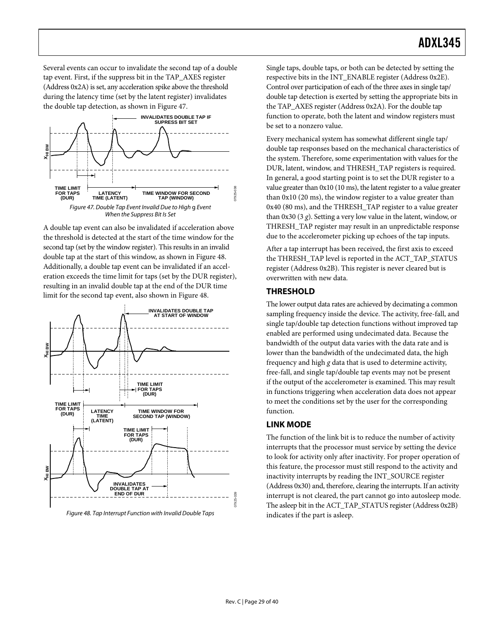<span id="page-28-0"></span>Several events can occur to invalidate the second tap of a double tap event. First, if the suppress bit in the TAP\_AXES register (Address 0x2A) is set, any acceleration spike above the threshold during the latency time (set by the latent register) invalidates the double tap detection, as shown in [Figure 47](#page-28-3).



<span id="page-28-3"></span>A double tap event can also be invalidated if acceleration above the threshold is detected at the start of the time window for the second tap (set by the window register). This results in an invalid double tap at the start of this window, as shown in [Figure 48.](#page-28-4) Additionally, a double tap event can be invalidated if an acceleration exceeds the time limit for taps (set by the DUR register), resulting in an invalid double tap at the end of the DUR time limit for the second tap event, also shown in [Figure 48.](#page-28-4)

<span id="page-28-4"></span><span id="page-28-2"></span><span id="page-28-1"></span>

Single taps, double taps, or both can be detected by setting the respective bits in the INT\_ENABLE register (Address 0x2E). Control over participation of each of the three axes in single tap/ double tap detection is exerted by setting the appropriate bits in the TAP\_AXES register (Address 0x2A). For the double tap function to operate, both the latent and window registers must be set to a nonzero value.

Every mechanical system has somewhat different single tap/ double tap responses based on the mechanical characteristics of the system. Therefore, some experimentation with values for the DUR, latent, window, and THRESH\_TAP registers is required. In general, a good starting point is to set the DUR register to a value greater than 0x10 (10 ms), the latent register to a value greater than 0x10 (20 ms), the window register to a value greater than 0x40 (80 ms), and the THRESH\_TAP register to a value greater than 0x30 (3 *g*). Setting a very low value in the latent, window, or THRESH\_TAP register may result in an unpredictable response due to the accelerometer picking up echoes of the tap inputs.

After a tap interrupt has been received, the first axis to exceed the THRESH\_TAP level is reported in the ACT\_TAP\_STATUS register (Address 0x2B). This register is never cleared but is overwritten with new data.

#### **THRESHOLD**

The lower output data rates are achieved by decimating a common sampling frequency inside the device. The activity, free-fall, and single tap/double tap detection functions without improved tap enabled are performed using undecimated data. Because the bandwidth of the output data varies with the data rate and is lower than the bandwidth of the undecimated data, the high frequency and high *g* data that is used to determine activity, free-fall, and single tap/double tap events may not be present if the output of the accelerometer is examined. This may result in functions triggering when acceleration data does not appear to meet the conditions set by the user for the corresponding function.

#### **LINK MODE**

The function of the link bit is to reduce the number of activity interrupts that the processor must service by setting the device to look for activity only after inactivity. For proper operation of this feature, the processor must still respond to the activity and inactivity interrupts by reading the INT\_SOURCE register (Address 0x30) and, therefore, clearing the interrupts. If an activity interrupt is not cleared, the part cannot go into autosleep mode. The asleep bit in the ACT\_TAP\_STATUS register (Address 0x2B) indicates if the part is asleep.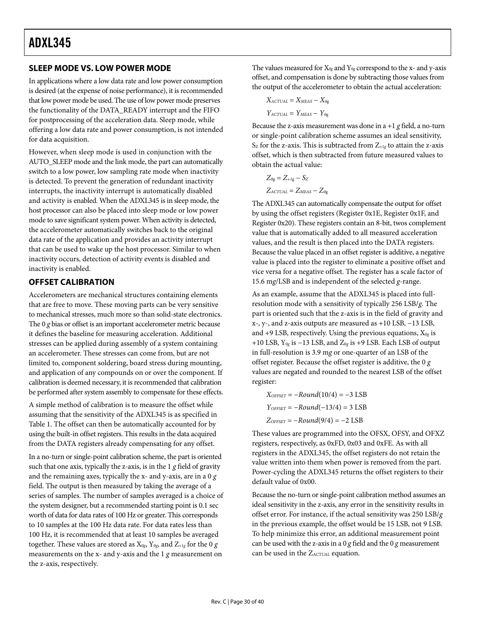#### <span id="page-29-1"></span><span id="page-29-0"></span>**SLEEP MODE VS. LOW POWER MODE**

In applications where a low data rate and low power consumption is desired (at the expense of noise performance), it is recommended that low power mode be used. The use of low power mode preserves the functionality of the DATA\_READY interrupt and the FIFO for postprocessing of the acceleration data. Sleep mode, while offering a low data rate and power consumption, is not intended for data acquisition.

However, when sleep mode is used in conjunction with the AUTO\_SLEEP mode and the link mode, the part can automatically switch to a low power, low sampling rate mode when inactivity is detected. To prevent the generation of redundant inactivity interrupts, the inactivity interrupt is automatically disabled and activity is enabled. When the ADXL345 is in sleep mode, the host processor can also be placed into sleep mode or low power mode to save significant system power. When activity is detected, the accelerometer automatically switches back to the original data rate of the application and provides an activity interrupt that can be used to wake up the host processor. Similar to when inactivity occurs, detection of activity events is disabled and inactivity is enabled.

#### **OFFSET CALIBRATION**

Accelerometers are mechanical structures containing elements that are free to move. These moving parts can be very sensitive to mechanical stresses, much more so than solid-state electronics. The 0 *g* bias or offset is an important accelerometer metric because it defines the baseline for measuring acceleration. Additional stresses can be applied during assembly of a system containing an accelerometer. These stresses can come from, but are not limited to, component soldering, board stress during mounting, and application of any compounds on or over the component. If calibration is deemed necessary, it is recommended that calibration be performed after system assembly to compensate for these effects.

A simple method of calibration is to measure the offset while assuming that the sensitivity of the ADXL345 is as specified in [Table 1](#page-3-1). The offset can then be automatically accounted for by using the built-in offset registers. This results in the data acquired from the DATA registers already compensating for any offset.

In a no-turn or single-point calibration scheme, the part is oriented such that one axis, typically the z-axis, is in the 1 *g* field of gravity and the remaining axes, typically the x- and y-axis, are in a 0 *g* field. The output is then measured by taking the average of a series of samples. The number of samples averaged is a choice of the system designer, but a recommended starting point is 0.1 sec worth of data for data rates of 100 Hz or greater. This corresponds to 10 samples at the 100 Hz data rate. For data rates less than 100 Hz, it is recommended that at least 10 samples be averaged together. These values are stored as  $X_{0g}$ ,  $Y_{0g}$ , and  $Z_{+1g}$  for the 0  $g$ measurements on the x- and y-axis and the 1 *g* measurement on the z-axis, respectively.

The values measured for  $X_{0g}$  and  $Y_{0g}$  correspond to the x- and y-axis offset, and compensation is done by subtracting those values from the output of the accelerometer to obtain the actual acceleration:

$$
X_{ACTUAL} = X_{MEAS} - X_{og}
$$

$$
Y_{ACTUAL} = Y_{MEAS} - Y_{og}
$$

Because the z-axis measurement was done in  $a + 1$  *g* field, a no-turn or single-point calibration scheme assumes an ideal sensitivity,  $S_Z$  for the z-axis. This is subtracted from  $Z_{+1g}$  to attain the z-axis offset, which is then subtracted from future measured values to obtain the actual value:

$$
Z_{0g} = Z_{+1g} - S_Z
$$
  
Zactual = Zmeas - Z<sub>0g</sub>

The ADXL345 can automatically compensate the output for offset by using the offset registers (Register 0x1E, Register 0x1F, and Register 0x20). These registers contain an 8-bit, twos complement value that is automatically added to all measured acceleration values, and the result is then placed into the DATA registers. Because the value placed in an offset register is additive, a negative value is placed into the register to eliminate a positive offset and vice versa for a negative offset. The register has a scale factor of 15.6 m*g*/LSB and is independent of the selected *g*-range.

As an example, assume that the ADXL345 is placed into fullresolution mode with a sensitivity of typically 256 LSB/*g*. The part is oriented such that the z-axis is in the field of gravity and x-, y-, and z-axis outputs are measured as +10 LSB, −13 LSB, and  $+9$  LSB, respectively. Using the previous equations,  $X_{0g}$  is +10 LSB, Y0*g* is −13 LSB, and Z0*g* is +9 LSB. Each LSB of output in full-resolution is 3.9 m*g* or one-quarter of an LSB of the offset register. Because the offset register is additive, the 0 *g* values are negated and rounded to the nearest LSB of the offset register:

$$
XOFFSET = -Round(10/4) = -3 LSB
$$

$$
YOFFSET = -Round(-13/4) = 3 LSB
$$

$$
ZOFFSET = -Round(9/4) = -2 LSB
$$

These values are programmed into the OFSX, OFSY, and OFXZ registers, respectively, as 0xFD, 0x03 and 0xFE. As with all registers in the ADXL345, the offset registers do not retain the value written into them when power is removed from the part. Power-cycling the ADXL345 returns the offset registers to their default value of 0x00.

Because the no-turn or single-point calibration method assumes an ideal sensitivity in the z-axis, any error in the sensitivity results in offset error. For instance, if the actual sensitivity was 250 LSB/*g* in the previous example, the offset would be 15 LSB, not 9 LSB. To help minimize this error, an additional measurement point can be used with the z-axis in a 0 *g* field and the 0 *g* measurement can be used in the  $Z_{\text{ACTUAL}}$  equation.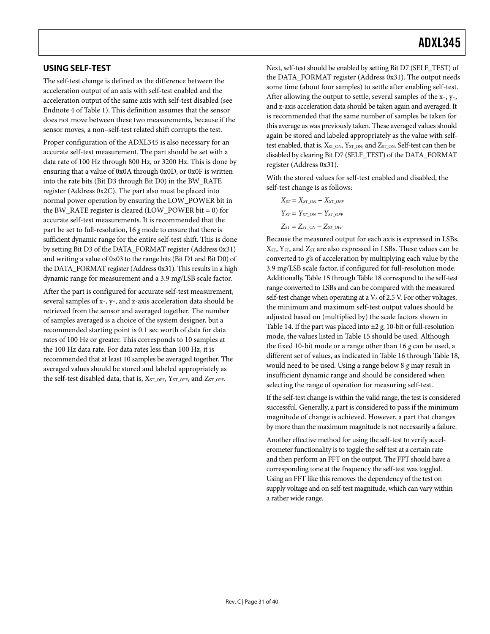#### <span id="page-30-1"></span><span id="page-30-0"></span>**USING SELF-TEST**

The self-test change is defined as the difference between the acceleration output of an axis with self-test enabled and the acceleration output of the same axis with self-test disabled (see Endnote 4 of [Table 1](#page-3-1)). This definition assumes that the sensor does not move between these two measurements, because if the sensor moves, a non–self-test related shift corrupts the test.

Proper configuration of the ADXL345 is also necessary for an accurate self-test measurement. The part should be set with a data rate of 100 Hz through 800 Hz, or 3200 Hz. This is done by ensuring that a value of 0x0A through 0x0D, or 0x0F is written into the rate bits (Bit D3 through Bit D0) in the BW\_RATE register (Address 0x2C). The part also must be placed into normal power operation by ensuring the LOW\_POWER bit in the BW\_RATE register is cleared  $(LOW_POWER bit = 0)$  for accurate self-test measurements. It is recommended that the part be set to full-resolution, 16 *g* mode to ensure that there is sufficient dynamic range for the entire self-test shift. This is done by setting Bit D3 of the DATA\_FORMAT register (Address 0x31) and writing a value of 0x03 to the range bits (Bit D1 and Bit D0) of the DATA\_FORMAT register (Address 0x31). This results in a high dynamic range for measurement and a 3.9 m*g*/LSB scale factor.

After the part is configured for accurate self-test measurement, several samples of x-, y-, and z-axis acceleration data should be retrieved from the sensor and averaged together. The number of samples averaged is a choice of the system designer, but a recommended starting point is 0.1 sec worth of data for data rates of 100 Hz or greater. This corresponds to 10 samples at the 100 Hz data rate. For data rates less than 100 Hz, it is recommended that at least 10 samples be averaged together. The averaged values should be stored and labeled appropriately as the self-test disabled data, that is,  $X_{ST\_OFF}$ ,  $Y_{ST\_OFF}$ , and  $Z_{ST\_OFF}$ .

Next, self-test should be enabled by setting Bit D7 (SELF\_TEST) of the DATA\_FORMAT register (Address 0x31). The output needs some time (about four samples) to settle after enabling self-test. After allowing the output to settle, several samples of the x-, y-, and z-axis acceleration data should be taken again and averaged. It is recommended that the same number of samples be taken for this average as was previously taken. These averaged values should again be stored and labeled appropriately as the value with selftest enabled, that is,  $X_{ST\_ON}$ ,  $Y_{ST\_ON}$ , and  $Z_{ST\_ON}$ . Self-test can then be disabled by clearing Bit D7 (SELF\_TEST) of the DATA\_FORMAT register (Address 0x31).

With the stored values for self-test enabled and disabled, the self-test change is as follows:

$$
X_{ST} = X_{ST\_ON} - X_{ST\_OFF}
$$
  
\n
$$
Y_{ST} = Y_{ST\_ON} - Y_{ST\_OFF}
$$
  
\n
$$
Z_{ST} = Z_{ST\_ON} - Z_{ST\_OFF}
$$

Because the measured output for each axis is expressed in LSBs, XST, YST, and ZST are also expressed in LSBs. These values can be converted to *g*'s of acceleration by multiplying each value by the 3.9 m*g*/LSB scale factor, if configured for full-resolution mode. Additionally, [Table 15](#page-21-2) through [Table 18](#page-21-3) correspond to the self-test range converted to LSBs and can be compared with the measured self-test change when operating at a  $V<sub>S</sub>$  of 2.5 V. For other voltages, the minimum and maximum self-test output values should be adjusted based on (multiplied by) the scale factors shown in [Table 14.](#page-21-5) If the part was placed into  $\pm 2$  *g*, 10-bit or full-resolution mode, the values listed in [Table 15](#page-21-2) should be used. Although the fixed 10-bit mode or a range other than 16 *g* can be used, a different set of values, as indicated in [Table 16](#page-21-4) through [Table 18](#page-21-3), would need to be used. Using a range below 8 *g* may result in insufficient dynamic range and should be considered when selecting the range of operation for measuring self-test.

If the self-test change is within the valid range, the test is considered successful. Generally, a part is considered to pass if the minimum magnitude of change is achieved. However, a part that changes by more than the maximum magnitude is not necessarily a failure.

Another effective method for using the self-test to verify accelerometer functionality is to toggle the self test at a certain rate and then perform an FFT on the output. The FFT should have a corresponding tone at the frequency the self-test was toggled. Using an FFT like this removes the dependency of the test on supply voltage and on self-test magnitude, which can vary within a rather wide range.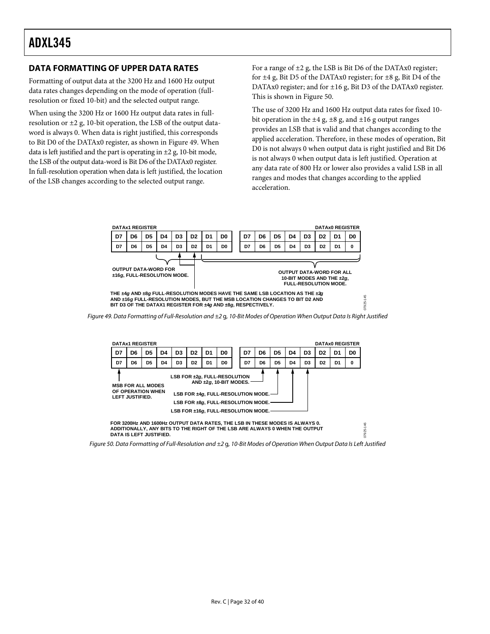Formatting of output data at the 3200 Hz and 1600 Hz output data rates changes depending on the mode of operation (fullresolution or fixed 10-bit) and the selected output range.

When using the 3200 Hz or 1600 Hz output data rates in fullresolution or  $\pm 2$  g, 10-bit operation, the LSB of the output dataword is always 0. When data is right justified, this corresponds to Bit D0 of the DATAx0 register, as shown in [Figure 49](#page-31-2). When data is left justified and the part is operating in  $\pm 2$  g, 10-bit mode, the LSB of the output data-word is Bit D6 of the DATAx0 register. In full-resolution operation when data is left justified, the location of the LSB changes according to the selected output range.

<span id="page-31-1"></span><span id="page-31-0"></span>**DATA FORMATTING OF UPPER DATA RATES** For a range of  $\pm 2$  g, the LSB is Bit D6 of the DATAx0 register; for ±4 g, Bit D5 of the DATAx0 register; for ±8 g, Bit D4 of the DATAx0 register; and for ±16 g, Bit D3 of the DATAx0 register. This is shown in [Figure 50.](#page-31-3)

> The use of 3200 Hz and 1600 Hz output data rates for fixed 10 bit operation in the  $\pm 4$  g,  $\pm 8$  g, and  $\pm 16$  g output ranges provides an LSB that is valid and that changes according to the applied acceleration. Therefore, in these modes of operation, Bit D0 is not always 0 when output data is right justified and Bit D6 is not always 0 when output data is left justified. Operation at any data rate of 800 Hz or lower also provides a valid LSB in all ranges and modes that changes according to the applied acceleration.



<span id="page-31-2"></span>

**ADDITIONALLY, ANY BITS TO THE RIGHT OF THE LSB ARE ALWAYS 0 WHEN THE OUTPUT DATA IS LEFT JUSTIFIED.**

<span id="page-31-3"></span>Figure 50. Data Formatting of Full-Resolution and ±2 g, 10-Bit Modes of Operation When Output Data Is Left Justified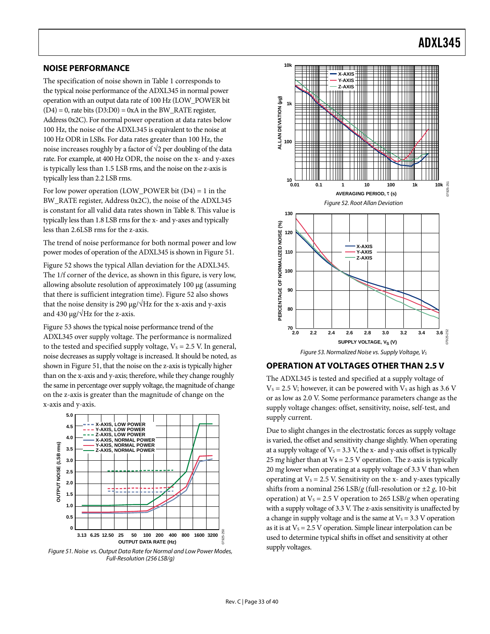#### <span id="page-32-5"></span><span id="page-32-1"></span><span id="page-32-0"></span>**NOISE PERFORMANCE**

The specification of noise shown in [Table 1](#page-3-1) corresponds to the typical noise performance of the ADXL345 in normal power operation with an output data rate of 100 Hz (LOW\_POWER bit  $(D4) = 0$ , rate bits  $(D3:D0) = 0xA$  in the BW\_RATE register, Address 0x2C). For normal power operation at data rates below 100 Hz, the noise of the ADXL345 is equivalent to the noise at 100 Hz ODR in LSBs. For data rates greater than 100 Hz, the noise increases roughly by a factor of  $\sqrt{2}$  per doubling of the data rate. For example, at 400 Hz ODR, the noise on the x- and y-axes is typically less than 1.5 LSB rms, and the noise on the z-axis is typically less than 2.2 LSB rms.

<span id="page-32-3"></span>For low power operation (LOW\_POWER bit  $(D4) = 1$  in the BW\_RATE register, Address 0x2C), the noise of the ADXL345 is constant for all valid data rates shown in [Table 8](#page-13-2). This value is typically less than 1.8 LSB rms for the x- and y-axes and typically less than 2.6LSB rms for the z-axis.

The trend of noise performance for both normal power and low power modes of operation of the ADXL345 is shown in [Figure 51](#page-32-2).

[Figure 52](#page-32-3) shows the typical Allan deviation for the ADXL345. The 1/f corner of the device, as shown in this figure, is very low, allowing absolute resolution of approximately 100 μg (assuming that there is sufficient integration time). [Figure 52](#page-32-3) also shows that the noise density is 290 μg/ $\sqrt{Hz}$  for the x-axis and y-axis and 430  $\mu$ g/ $\sqrt{Hz}$  for the z-axis.

<span id="page-32-4"></span>[Figure 53](#page-32-4) shows the typical noise performance trend of the ADXL345 over supply voltage. The performance is normalized to the tested and specified supply voltage,  $V_s = 2.5$  V. In general, noise decreases as supply voltage is increased. It should be noted, as shown in [Figure 51,](#page-32-2) that the noise on the z-axis is typically higher than on the x-axis and y-axis; therefore, while they change roughly the same in percentage over supply voltage, the magnitude of change on the z-axis is greater than the magnitude of change on the x-axis and y-axis.



<span id="page-32-2"></span>Figure 51. Noise vs. Output Data Rate for Normal and Low Power Modes, Full-Resolution (256 LSB/g)



### **OPERATION AT VOLTAGES OTHER THAN 2.5 V**

The ADXL345 is tested and specified at a supply voltage of  $V_s = 2.5$  V; however, it can be powered with  $V_s$  as high as 3.6 V or as low as 2.0 V. Some performance parameters change as the supply voltage changes: offset, sensitivity, noise, self-test, and supply current.

Due to slight changes in the electrostatic forces as supply voltage is varied, the offset and sensitivity change slightly. When operating at a supply voltage of  $V_s = 3.3$  V, the x- and y-axis offset is typically 25 m*g* higher than at Vs = 2.5 V operation. The z-axis is typically 20 m*g* lower when operating at a supply voltage of 3.3 V than when operating at  $V_s = 2.5$  V. Sensitivity on the x- and y-axes typically shifts from a nominal 256 LSB/*g* (full-resolution or ±2 *g*, 10-bit operation) at  $V_s = 2.5$  V operation to 265 LSB/*g* when operating with a supply voltage of 3.3 V. The z-axis sensitivity is unaffected by a change in supply voltage and is the same at  $V_s = 3.3$  V operation as it is at  $V_s = 2.5$  V operation. Simple linear interpolation can be used to determine typical shifts in offset and sensitivity at other supply voltages.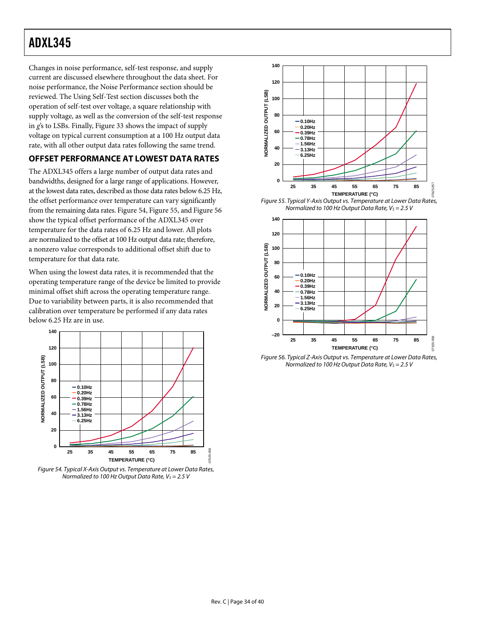<span id="page-33-0"></span>Changes in noise performance, self-test response, and supply current are discussed elsewhere throughout the data sheet. For noise performance, the [Noise Performance](#page-32-5) section should be reviewed. The [Using Self-Test](#page-30-1) section discusses both the operation of self-test over voltage, a square relationship with supply voltage, as well as the conversion of the self-test response in *g*'s to LSBs. Finally, [Figure 33](#page-11-0) shows the impact of supply voltage on typical current consumption at a 100 Hz output data rate, with all other output data rates following the same trend.

### **OFFSET PERFORMANCE AT LOWEST DATA RATES**

The ADXL345 offers a large number of output data rates and bandwidths, designed for a large range of applications. However, at the lowest data rates, described as those data rates below 6.25 Hz, the offset performance over temperature can vary significantly from the remaining data rates. [Figure 54](#page-33-1), Figure 55, and Figure 56 show the typical offset performance of the ADXL345 over temperature for the data rates of 6.25 Hz and lower. All plots are normalized to the offset at 100 Hz output data rate; therefore, a nonzero value corresponds to additional offset shift due to temperature for that data rate.

When using the lowest data rates, it is recommended that the operating temperature range of the device be limited to provide minimal offset shift across the operating temperature range. Due to variability between parts, it is also recommended that calibration over temperature be performed if any data rates below 6.25 Hz are in use.



<span id="page-33-1"></span>Figure 54. Typical X-Axis Output vs. Temperature at Lower Data Rates, Normalized to 100 Hz Output Data Rate,  $V_S = 2.5 V$ 



Figure 55. Typical Y-Axis Output vs. Temperature at Lower Data Rates, Normalized to 100 Hz Output Data Rate,  $V_S = 2.5$  V



Figure 56. Typical Z-Axis Output vs. Temperature at Lower Data Rates, Normalized to 100 Hz Output Data Rate,  $V_s = 2.5 V$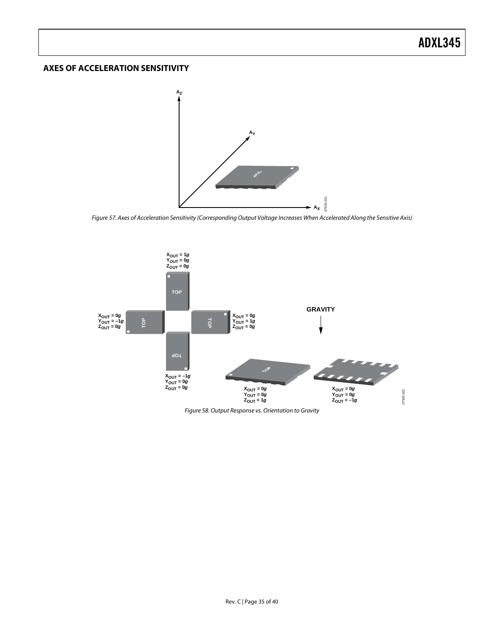#### <span id="page-34-0"></span>**AXES OF ACCELERATION SENSITIVITY**



Figure 57. Axes of Acceleration Sensitivity (Corresponding Output Voltage Increases When Accelerated Along the Sensitive Axis)

07925-021



Figure 58. Output Response vs. Orientation to Gravity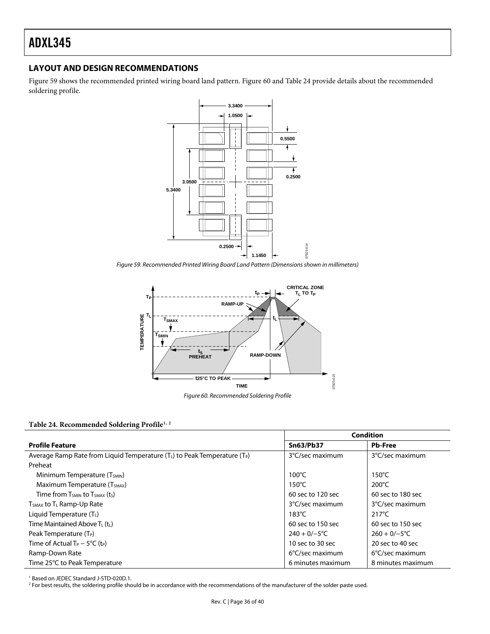#### <span id="page-35-0"></span>**LAYOUT AND DESIGN RECOMMENDATIONS**

[Figure 59](#page-35-1) shows the recommended printed wiring board land pattern. [Figure 60](#page-35-2) and [Table 24](#page-35-3) provide details about the recommended soldering profile.



<span id="page-35-1"></span>Figure 59. Recommended Printed Wiring Board Land Pattern (Dimensions shown in millimeters)



#### <span id="page-35-3"></span><span id="page-35-2"></span>**Table 24. Recommended Soldering Profile1, 2**

|                                                                               | Condition                 |                           |  |
|-------------------------------------------------------------------------------|---------------------------|---------------------------|--|
| <b>Profile Feature</b>                                                        | <b>Sn63/Pb37</b>          | <b>Pb-Free</b>            |  |
| Average Ramp Rate from Liquid Temperature $(T_L)$ to Peak Temperature $(T_P)$ | 3°C/sec maximum           | 3°C/sec maximum           |  |
| Preheat                                                                       |                           |                           |  |
| Minimum Temperature (T <sub>SMIN</sub> )                                      | $100^{\circ}$ C           | $150^{\circ}$ C           |  |
| Maximum Temperature (T <sub>SMAX</sub> )                                      | $150^{\circ}$ C           | $200^{\circ}$ C           |  |
| Time from T <sub>SMIN</sub> to T <sub>SMAX</sub> (t <sub>S</sub> )            | 60 sec to 120 sec         | 60 sec to 180 sec         |  |
| $T_{SMAX}$ to $T_L$ Ramp-Up Rate                                              | 3°C/sec maximum           | 3°C/sec maximum           |  |
| Liquid Temperature $(TL)$                                                     | $183^{\circ}$ C           | $217^{\circ}$ C           |  |
| Time Maintained Above $T_L(t_L)$                                              | 60 sec to 150 sec         | 60 sec to 150 sec         |  |
| Peak Temperature (T <sub>P</sub> )                                            | $240 + 0/-5$ °C           | $260 + 0/-5$ °C           |  |
| Time of Actual $T_P - 5^{\circ}C$ (t <sub>P</sub> )                           | 10 sec to 30 sec          | 20 sec to 40 sec          |  |
| Ramp-Down Rate                                                                | $6^{\circ}$ C/sec maximum | $6^{\circ}$ C/sec maximum |  |
| Time 25°C to Peak Temperature                                                 | 6 minutes maximum         | 8 minutes maximum         |  |

<sup>1</sup> Based on JEDEC Standard J-STD-020D.1.<br><sup>2</sup> Eor best results, the soldering profile sho

<sup>2</sup> For best results, the soldering profile should be in accordance with the recommendations of the manufacturer of the solder paste used.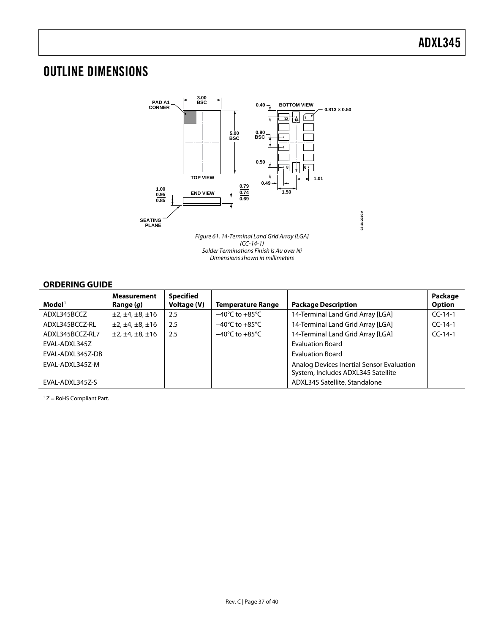### <span id="page-36-1"></span><span id="page-36-0"></span>OUTLINE DIMENSIONS



#### **ORDERING GUIDE**

<span id="page-36-2"></span>

| $\mathbf{Model}^1$ | <b>Measurement</b><br>Range $(q)$ | <b>Specified</b><br>Voltage (V) | <b>Temperature Range</b>           | <b>Package Description</b>                                                      | Package<br><b>Option</b> |
|--------------------|-----------------------------------|---------------------------------|------------------------------------|---------------------------------------------------------------------------------|--------------------------|
| ADXL345BCCZ        | ±2, ±4, ±8, ±16                   | 2.5                             | $-40^{\circ}$ C to $+85^{\circ}$ C | 14-Terminal Land Grid Array [LGA]                                               | $CC-14-1$                |
| ADXL345BCCZ-RL     | ±2, ±4, ±8, ±16                   | 2.5                             | $-40^{\circ}$ C to $+85^{\circ}$ C | 14-Terminal Land Grid Array [LGA]                                               | $CC-14-1$                |
| ADXL345BCCZ-RL7    | ±2, ±4, ±8, ±16                   | 2.5                             | $-40^{\circ}$ C to $+85^{\circ}$ C | 14-Terminal Land Grid Array [LGA]                                               | $CC-14-1$                |
| EVAL-ADXL345Z      |                                   |                                 |                                    | <b>Evaluation Board</b>                                                         |                          |
| EVAL-ADXL345Z-DB   |                                   |                                 |                                    | <b>Evaluation Board</b>                                                         |                          |
| EVAL-ADXL345Z-M    |                                   |                                 |                                    | Analog Devices Inertial Sensor Evaluation<br>System, Includes ADXL345 Satellite |                          |
| EVAL-ADXL345Z-S    |                                   |                                 |                                    | ADXL345 Satellite, Standalone                                                   |                          |

1 Z = RoHS Compliant Part.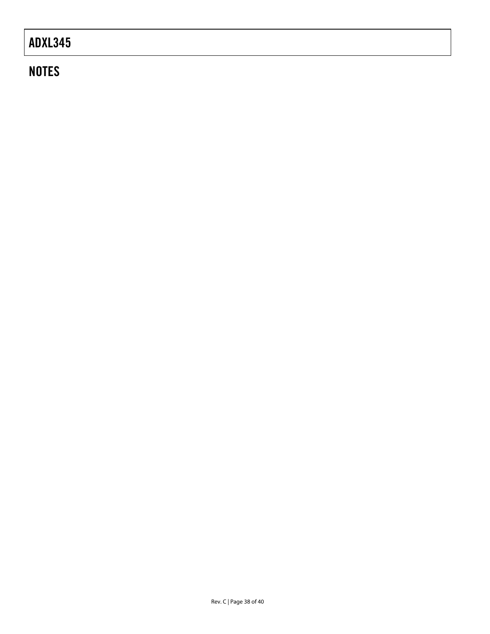### **NOTES**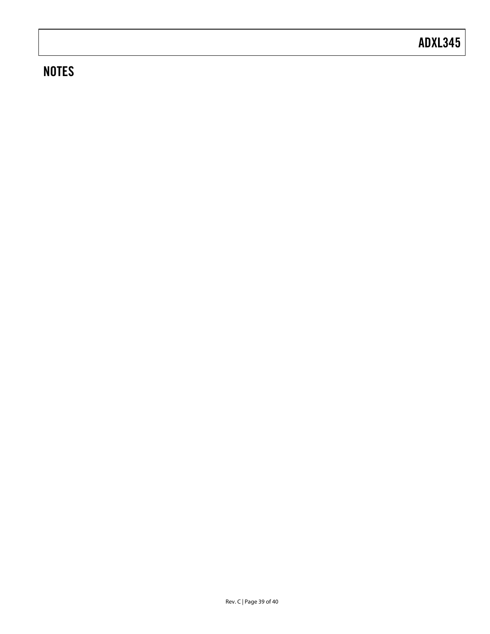### **NOTES**